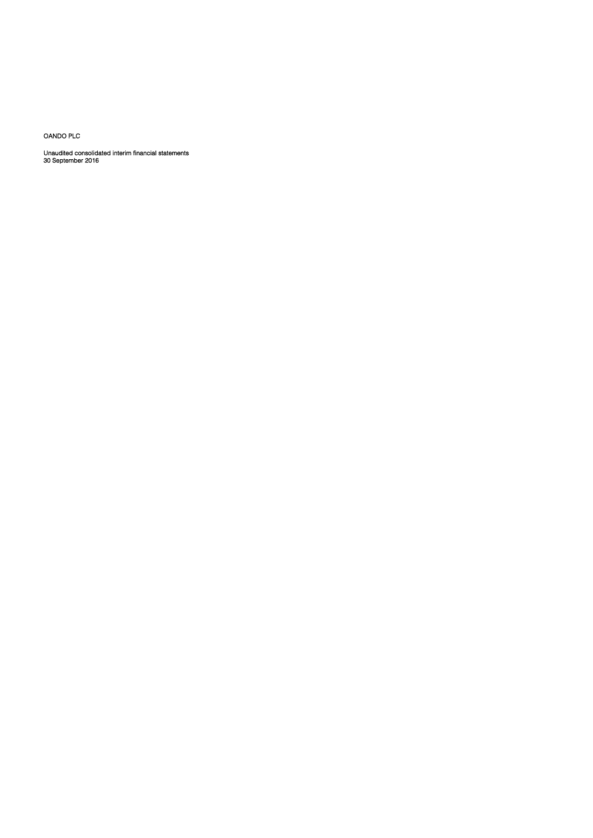OANDO PLC

Unaudited consolidated interim financial statements 30 September 2016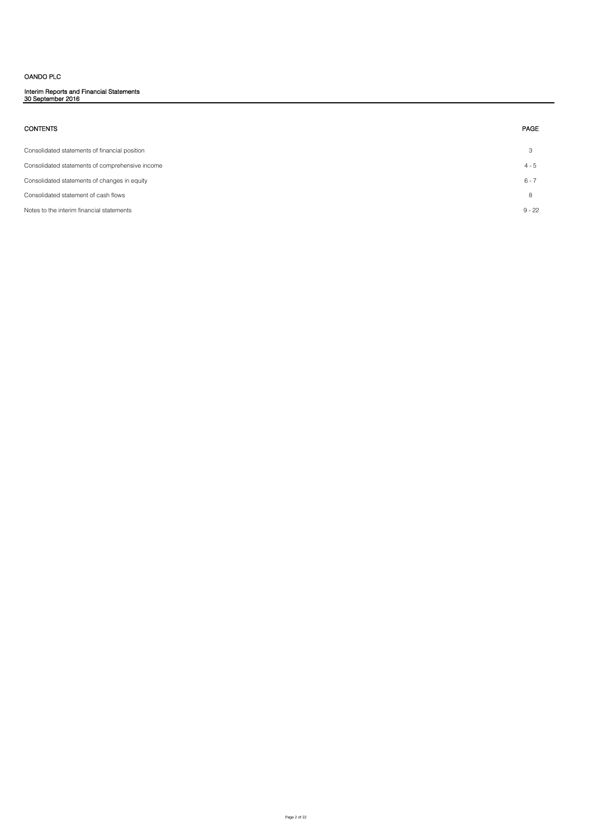# OANDO PLC

Interim Reports and Financial Statements 30 September 2016

| <b>CONTENTS</b>                                 | PAGE     |
|-------------------------------------------------|----------|
| Consolidated statements of financial position   | 3        |
| Consolidated statements of comprehensive income | $4 - 5$  |
| Consolidated statements of changes in equity    | $6 - 7$  |
| Consolidated statement of cash flows            | 8        |
| Notes to the interim financial statements       | $9 - 22$ |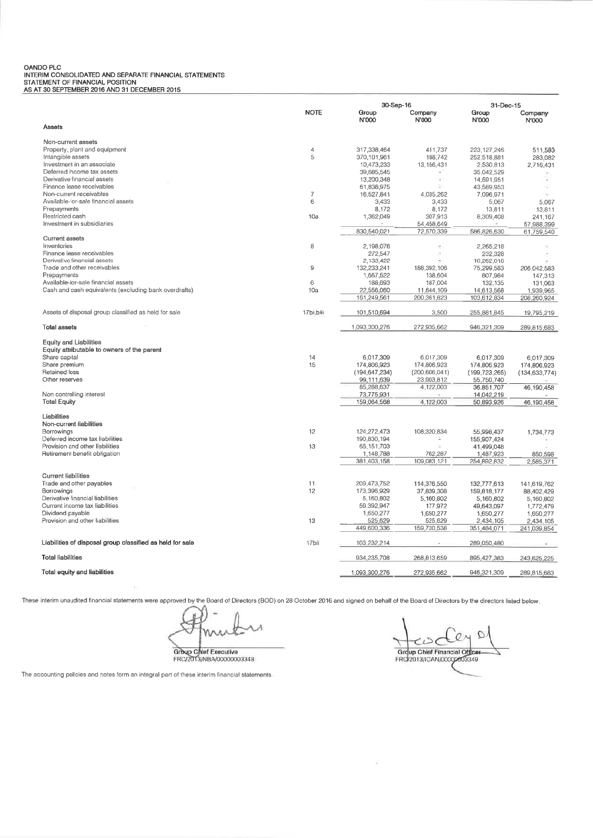# OANDO PLC UNIVORTION CONSOLIDATED AND SEPARATE FINANCIAL STATEMENTS<br>STATEMENT OF FINANCIAL POSITION<br>AS AT 30 SEPTEMBER 2016 AND 31 DECEMBER 2015

|                                                           |                | 30-Sep-16                   |                  | 31-Dec-15       |                  |
|-----------------------------------------------------------|----------------|-----------------------------|------------------|-----------------|------------------|
|                                                           | <b>NOTE</b>    | Group<br>N'000              | Company<br>N'000 | Group<br>N'000  | Company<br>N'000 |
| Assets                                                    |                |                             |                  |                 |                  |
| Non-current assets                                        |                |                             |                  |                 |                  |
| Property, plant and equipment                             | $\overline{4}$ | 317,338,464                 | 411,737          | 223, 127, 246   | 511,583          |
| Intangible assets                                         | 5              | 370,101,961                 | 188,742          | 252,518,881     | 283,082          |
| Investment in an associate                                |                | 10,473,233                  | 13, 156, 431     | 2,530,813       | 2,716,431        |
| Deferred income tax assets                                |                | 39,685,545                  | rati             | 35,042,529      |                  |
| Derivative financial assets                               |                | 13,200,348                  | G.               | 14,591,951      |                  |
| Finance lease receivables                                 |                | 61,838,975                  | ÷                | 43,589,953      |                  |
| Non-current receivables                                   | $\overline{7}$ | 16,527,841                  | 4,035,262        | 7.096.971       | ×.               |
| Available-for-sale financial assets                       | 6              | 3,433                       | 3,433            | 5,067           | 5,067            |
| Prepayments                                               |                | 8,172                       | 8,172            | 13,811          | 13,811           |
| Restricted cash                                           | 10a            | 1,362,049                   | 307,913          | 8,309,408       | 241,167          |
| Investment in subsidiaries                                |                |                             | 54,458,649       |                 | 57,988,399       |
|                                                           |                | 830,540,021                 | 72,570,339       | 586,826,630     | 61,759,540       |
| <b>Current assets</b>                                     |                |                             |                  |                 |                  |
| Inventories                                               | 8              | 2,198,076                   |                  | 2,265,218       |                  |
| Finance lease receivables                                 |                | 272,547                     | $\sim$           | 232,328         |                  |
| Derivative financial assets                               |                | 2,133,422                   |                  | 10.262.018      |                  |
| Trade and other receivables                               | 9              | 132,233,241                 | 188,392,106      | 75,299,583      | 206,042,583      |
| Prepayments                                               |                | 1,667,522                   | 138,604          | 807,984         | 147,313          |
| Available-for-sale financial assets                       | 6              | 188,693                     | 187,004          | 132,135         | 131,063          |
| Cash and cash equivalents (excluding bank overdrafts)     | 10a            | 22,556,060                  | 11,644,109       | 14,613,568      | 1,939,965        |
|                                                           |                | 161,249,561                 | 200,361,823      | 103,612,834     | 208,260,924      |
| Assets of disposal group classified as held for sale      | 17bi.biii      | 101,510,694                 | 3,500            | 255,881,845     | 19,795,219       |
| Total assets                                              |                | 1,093,300,276               | 272,935,662      | 946,321,309     | 289,815,683      |
| <b>Equity and Liabilities</b>                             |                |                             |                  |                 |                  |
| Equity attributable to owners of the parent               |                |                             |                  |                 |                  |
| Share capital                                             | 14             |                             | 6,017,309        |                 |                  |
| Share premium                                             | 15             | 6,017,309<br>174,806,923    | 174,806,923      | 6,017,309       | 6,017,309        |
| Retained loss                                             |                |                             | (200, 606, 041)  | 174,806,923     | 174,806,923      |
| Other reserves                                            |                | (194,647,234)<br>99,111,639 | 23,903,812       | (199, 723, 265) | (134, 633, 774)  |
|                                                           |                | 85,288,637                  | 4,122,003        | 55,750,740      |                  |
| Non controlling interest                                  |                | 73,775,931                  |                  | 36,851,707      | 46,190,458       |
| <b>Total Equity</b>                                       |                | 159,064,568                 | 4,122,003        | 14,042,219      |                  |
|                                                           |                |                             |                  | 50,893,926      | 46,190,458       |
| Liabilities                                               |                |                             |                  |                 |                  |
| Non-current liabilities                                   |                |                             |                  |                 |                  |
| Borrowings                                                | 12             | 124,272,473                 | 108,320,834      | 55,998,437      | 1,734,773        |
| Deferred income tax liabilities                           |                | 190,830,194                 | ۰                | 155,907,424     |                  |
| Provision and other liabilities                           | 13             | 65, 151, 703                |                  | 41,499,048      |                  |
| Retirement benefit obligation                             |                | 1,148,788                   | 762,287          | 1,487,923       | 850,598          |
|                                                           |                | 381,403,158                 | 109,083,121      | 254,892,832     | 2,585,371        |
|                                                           |                |                             |                  |                 |                  |
| <b>Current liabilities</b>                                |                |                             |                  |                 |                  |
| Trade and other payables                                  | 11             | 209,473,752                 | 114,376,550      | 132,777,613     | 141,619,762      |
| Borrowings                                                | 12             | 173,396,929                 | 37,839,308       | 159,818,177     | 88,402,429       |
| Derivative financial liabilities                          |                | 5,160,802                   | 5,160,802        | 5,160,802       | 5,160.802        |
| Current income tax liabilities                            |                | 59,392,947                  | 177,972          | 49,643,097      | 1,772,479        |
| Dividend payable                                          |                | 1,650,277                   | 1,650,277        | 1,650,277       | 1,650,277        |
| Provision and other liabilities                           | 13             | 525,629                     | 525,629          | 2,434,105       | 2,434,105        |
|                                                           |                | 449,600,336                 | 159,730,538      | 351,484,071     | 241,039,854      |
| Liabilities of disposal group classified as held for sale | 17bii          | 103,232,214                 |                  | 289,050,480     |                  |
| <b>Total liabilities</b>                                  |                | 934,235,708                 | 268,813,659      | 895,427,383     | 243,625,225      |
| Total equity and liabilities                              |                | 1,093,300,276               | 272,935,662      | 946,321,309     | 289,815,683      |
|                                                           |                |                             |                  |                 |                  |

These interim unaudited financial statements were approved by the Board of Directors (BOD) on 28 October 2016 and signed on behalf of the Board of Directors by the directors listed below

Group Chief Executive<br>FRC/2013/NBA/00000003348

O 0 ていて Group Chief Financial Officer

 $\overline{\phantom{a}}$ 

The accounting policies and notes form an integral part of these interim financial statements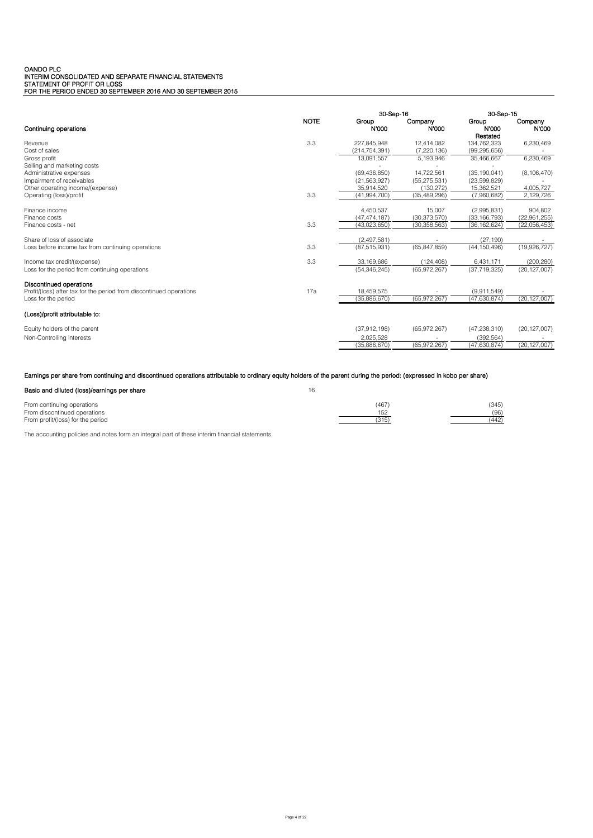# OANDO PLC<br>INTERIM CONSOLIDATED AND SEPARATE FINANCIAL STATEMENTS<br>STATEMENT OF PROFIT OR LOSS<br>FOR THE PERIOD ENDED 30 SEPTEMBER 2016 AND 30 SEPTEMBER 2015

|                                                                                                |             | 30-Sep-16      |                  | 30-Sep-15      |                  |
|------------------------------------------------------------------------------------------------|-------------|----------------|------------------|----------------|------------------|
| Continuing operations                                                                          | <b>NOTE</b> | Group<br>N'000 | Company<br>N'000 | Group<br>N'000 | Company<br>N'000 |
|                                                                                                |             |                |                  | Restated       |                  |
| Revenue                                                                                        | 3.3         | 227,845,948    | 12,414,082       | 134,762,323    | 6,230,469        |
| Cost of sales                                                                                  |             | (214,754,391)  | (7, 220, 136)    | (99,295,656)   |                  |
| Gross profit                                                                                   |             | 13,091,557     | 5,193,946        | 35,466,667     | 6,230,469        |
| Selling and marketing costs                                                                    |             |                |                  |                |                  |
| Administrative expenses                                                                        |             | (69, 436, 850) | 14,722,561       | (35, 190, 041) | (8, 106, 470)    |
| Impairment of receivables                                                                      |             | (21, 563, 927) | (55, 275, 531)   | (23, 599, 829) |                  |
| Other operating income/(expense)                                                               |             | 35,914,520     | (130, 272)       | 15,362,521     | 4,005,727        |
| Operating (loss)/profit                                                                        | 3.3         | (41,994,700)   | (35, 489, 296)   | (7,960,682)    | 2,129,726        |
|                                                                                                |             |                |                  |                |                  |
| Finance income                                                                                 |             | 4,450,537      | 15,007           | (2,995,831)    | 904,802          |
| Finance costs                                                                                  |             | (47, 474, 187) | (30, 373, 570)   | (33, 166, 793) | (22,961,255)     |
| Finance costs - net                                                                            | 3.3         | (43,023,650)   | (30, 358, 563)   | (36, 162, 624) | (22,056,453)     |
| Share of loss of associate                                                                     |             | (2,497,581)    |                  | (27, 190)      |                  |
| Loss before income tax from continuing operations                                              | 3.3         | (87, 515, 931) | (65, 847, 859)   | (44, 150, 496) | (19,926,727)     |
| Income tax credit/(expense)                                                                    | 3.3         | 33.169.686     | (124, 408)       | 6.431.171      | (200, 280)       |
| Loss for the period from continuing operations                                                 |             | (54.346.245)   | (65.972.267)     | (37.719.325)   | (20, 127, 007)   |
|                                                                                                |             |                |                  |                |                  |
| Discontinued operations<br>Profit/(loss) after tax for the period from discontinued operations | 17a         | 18,459,575     |                  | (9,911,549)    |                  |
| Loss for the period                                                                            |             | (35,886,670)   | (65,972,267)     | (47,630,874)   | (20, 127, 007)   |
| (Loss)/profit attributable to:                                                                 |             |                |                  |                |                  |
| Equity holders of the parent                                                                   |             | (37,912,198)   | (65,972,267)     | (47, 238, 310) | (20, 127, 007)   |
| Non-Controlling interests                                                                      |             | 2,025,528      |                  | (392, 564)     |                  |
|                                                                                                |             | (35.886.670)   | (65,972,267)     | (47.630.874)   | (20, 127, 007)   |

Earnings per share from continuing and discontinued operations attributable to ordinary equity holders of the parent during the period: (expressed in kobo per share)

| Basic and diluted (loss)/earnings per share | 16    |       |
|---------------------------------------------|-------|-------|
| From continuing operations                  | (467) | (345) |
| From discontinued operations                | 152   | (96)  |
| From profit/(loss) for the period           | (315) | (442) |

The accounting policies and notes form an integral part of these interim financial statements.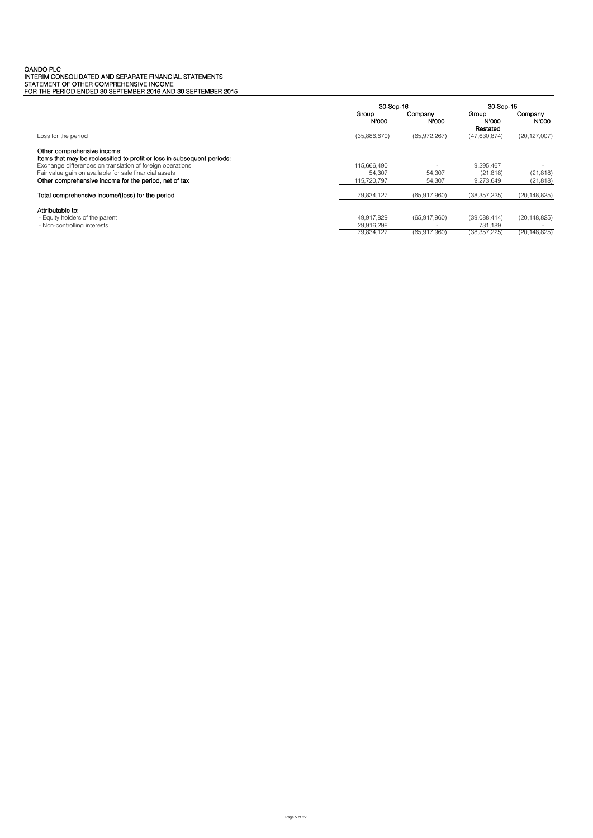# OANDO PLC<br>INTERIM CONSOLIDATED AND SEPARATE FINANCIAL STATEMENTS<br>STATEMENT OF OTHER COMPREHENSIVE INCOME<br>FOR THE PERIOD ENDED 30 SEPTEMBER 2016 AND 30 SEPTEMBER 2015

|                                                                                                                                                                                                                                                                                        |                                        | 30-Sep-16                    |                                           | 30-Sep-15                        |
|----------------------------------------------------------------------------------------------------------------------------------------------------------------------------------------------------------------------------------------------------------------------------------------|----------------------------------------|------------------------------|-------------------------------------------|----------------------------------|
|                                                                                                                                                                                                                                                                                        | Group<br>N'000                         | Company<br>N'000             | Group<br><b>N'000</b><br>Restated         | Company<br>N'000                 |
| Loss for the period                                                                                                                                                                                                                                                                    | (35,886,670)                           | (65,972,267)                 | (47,630,874)                              | (20, 127, 007)                   |
| Other comprehensive income:<br>Items that may be reclassified to profit or loss in subsequent periods:<br>Exchange differences on translation of foreign operations<br>Fair value gain on available for sale financial assets<br>Other comprehensive income for the period, net of tax | 115.666.490<br>54.307<br>115.720.797   | 54,307<br>54.307             | 9,295,467<br>(21, 818)<br>9.273.649       | (21, 818)<br>(21, 818)           |
| Total comprehensive income/(loss) for the period                                                                                                                                                                                                                                       | 79,834,127                             | (65,917,960)                 | (38, 357, 225)                            | (20, 148, 825)                   |
| Attributable to:<br>- Equity holders of the parent<br>- Non-controlling interests                                                                                                                                                                                                      | 49.917.829<br>29.916.298<br>79.834.127 | (65.917.960)<br>(65,917,960) | (39.088.414)<br>731.189<br>(38, 357, 225) | (20, 148, 825)<br>(20, 148, 825) |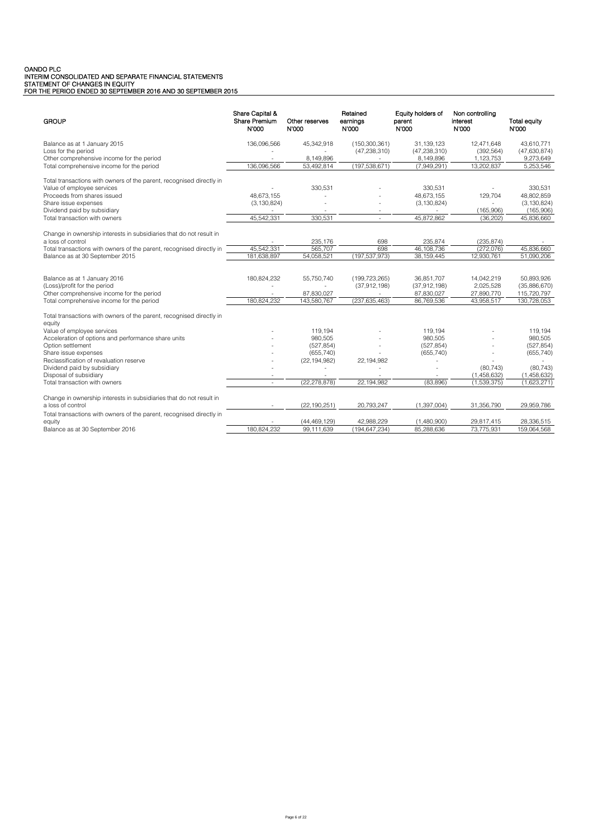# OANDO PLC<br>INTERIM CONSOLIDATED AND SEPARATE FINANCIAL STATEMENTS<br>STATEMENT OF CHANGES IN EQUITY<br>FOR THE PERIOD ENDED 30 SEPTEMBER 2016 AND 30 SEPTEMBER 2015

| <b>GROUP</b>                                                                                                                                                                                        | Share Capital &<br>Share Premium<br>N'000 | Other reserves<br>N'000          | Retained<br>earnings<br>N'000 | Equity holders of<br>parent<br>N'000  | Non controlling<br>interest<br>N'000 | <b>Total equity</b><br>N'000 |
|-----------------------------------------------------------------------------------------------------------------------------------------------------------------------------------------------------|-------------------------------------------|----------------------------------|-------------------------------|---------------------------------------|--------------------------------------|------------------------------|
| Balance as at 1 January 2015                                                                                                                                                                        | 136,096,566                               | 45,342,918                       | (150, 300, 361)               | 31.139.123                            | 12,471,648                           | 43,610,771                   |
| Loss for the period                                                                                                                                                                                 |                                           |                                  | (47, 238, 310)                | (47, 238, 310)                        | (392, 564)                           | (47,630,874)                 |
| Other comprehensive income for the period                                                                                                                                                           |                                           | 8,149,896                        |                               | 8,149,896                             | 1,123,753                            | 9,273,649                    |
| Total comprehensive income for the period                                                                                                                                                           | 136.096.566                               | 53,492,814                       | (197,538,671)                 | (7,949,291)                           | 13,202,837                           | 5,253,546                    |
| Total transactions with owners of the parent, recognised directly in                                                                                                                                |                                           |                                  |                               |                                       |                                      |                              |
| Value of employee services                                                                                                                                                                          |                                           | 330,531                          |                               | 330.531                               |                                      | 330.531                      |
| Proceeds from shares issued                                                                                                                                                                         | 48.673.155                                |                                  |                               | 48,673,155                            | 129,704                              | 48,802,859                   |
| Share issue expenses                                                                                                                                                                                | (3, 130, 824)                             |                                  |                               | (3, 130, 824)                         |                                      | (3, 130, 824)                |
| Dividend paid by subsidiary                                                                                                                                                                         |                                           | $\overline{\phantom{a}}$         | $\sim$                        |                                       | (165,906)                            | (165,906)                    |
| Total transaction with owners                                                                                                                                                                       | 45,542,331                                | 330,531                          | ÷.                            | 45,872,862                            | (36, 202)                            | 45,836,660                   |
| Change in ownership interests in subsidiaries that do not result in<br>a loss of control<br>Total transactions with owners of the parent, recognised directly in<br>Balance as at 30 September 2015 | 45,542,331<br>181,638,897                 | 235.176<br>565,707<br>54,058,521 | 698<br>698<br>(197, 537, 973) | 235.874<br>46,108,736<br>38, 159, 445 | (235.874)<br>(272,076)<br>12,930,761 | 45,836,660<br>51,090,206     |
| Balance as at 1 January 2016                                                                                                                                                                        | 180,824,232                               | 55,750,740                       | (199, 723, 265)               | 36,851,707                            | 14,042,219                           | 50,893,926                   |
| (Loss)/profit for the period                                                                                                                                                                        |                                           |                                  | (37, 912, 198)                | (37,912,198)                          | 2.025.528                            | (35,886,670)                 |
| Other comprehensive income for the period                                                                                                                                                           |                                           | 87,830,027                       |                               | 87,830,027                            | 27,890,770                           | 115,720,797                  |
| Total comprehensive income for the period                                                                                                                                                           | 180.824.232                               | 143,580,767                      | (237, 635, 463)               | 86,769,536                            | 43,958,517                           | 130,728,053                  |
|                                                                                                                                                                                                     |                                           |                                  |                               |                                       |                                      |                              |
| Total transactions with owners of the parent, recognised directly in<br>equity                                                                                                                      |                                           |                                  |                               |                                       |                                      |                              |
| Value of employee services                                                                                                                                                                          |                                           | 119,194                          |                               | 119,194                               |                                      | 119,194                      |
| Acceleration of options and performance share units                                                                                                                                                 |                                           | 980.505                          |                               | 980.505                               |                                      | 980.505                      |
| Option settlement                                                                                                                                                                                   |                                           | (527, 854)                       |                               | (527, 854)                            |                                      | (527, 854)                   |
| Share issue expenses                                                                                                                                                                                |                                           | (655, 740)                       |                               | (655, 740)                            |                                      | (655, 740)                   |
| Reclassification of revaluation reserve                                                                                                                                                             |                                           | (22, 194, 982)                   | 22,194,982                    |                                       |                                      |                              |
| Dividend paid by subsidiary                                                                                                                                                                         |                                           |                                  |                               |                                       | (80, 743)                            | (80, 743)                    |
| Disposal of subsidiary                                                                                                                                                                              |                                           |                                  |                               |                                       | (1,458,632)                          | (1,458,632)                  |
| Total transaction with owners                                                                                                                                                                       | $\omega$                                  | (22, 278, 878)                   | 22.194.982                    | (83.896)                              | (1,539,375)                          | (1,623,271)                  |
| Change in ownership interests in subsidiaries that do not result in                                                                                                                                 |                                           |                                  |                               |                                       |                                      |                              |
| a loss of control                                                                                                                                                                                   |                                           | (22, 190, 251)                   | 20,793,247                    | (1,397,004)                           | 31,356,790                           | 29,959,786                   |
| Total transactions with owners of the parent, recognised directly in                                                                                                                                |                                           |                                  |                               |                                       |                                      |                              |
| equity                                                                                                                                                                                              |                                           | (44, 469, 129)                   | 42.988.229                    | (1.480.900)                           | 29.817.415                           | 28.336.515                   |
| Balance as at 30 September 2016                                                                                                                                                                     | 180,824,232                               | 99.111.639                       | (194, 647, 234)               | 85.288.636                            | 73,775,931                           | 159.064.568                  |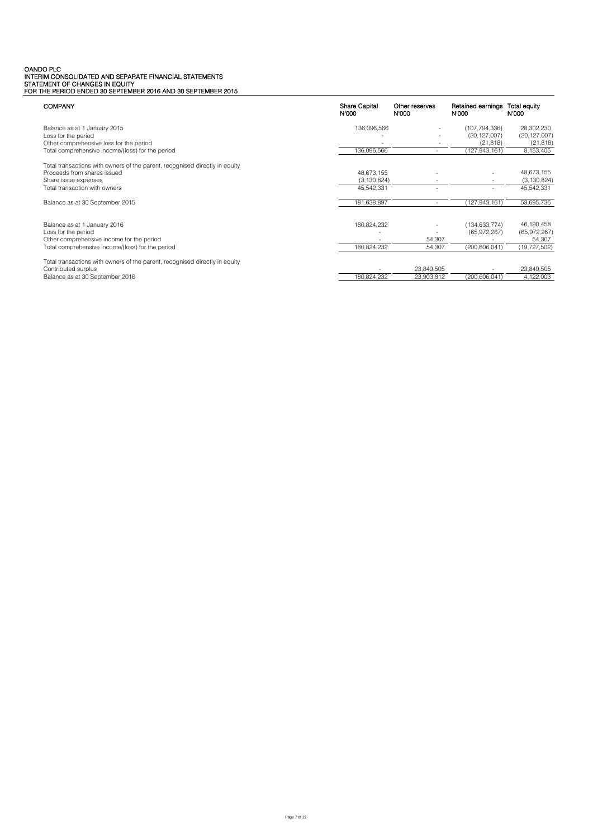# OANDO PLC<br>INTERIM CONSOLIDATED AND SEPARATE FINANCIAL STATEMENTS<br>STATEMENT OF CHANGES IN EQUITY<br>FOR THE PERIOD ENDED 30 SEPTEMBER 2016 AND 30 SEPTEMBER 2015

| <b>COMPANY</b>                                                              | <b>Share Capital</b><br>N'000 | Other reserves<br>N'000 | Retained earnings<br>N'000 | Total equity<br>N'000 |
|-----------------------------------------------------------------------------|-------------------------------|-------------------------|----------------------------|-----------------------|
| Balance as at 1 January 2015                                                | 136,096,566                   |                         | (107,794,336)              | 28,302,230            |
| Loss for the period                                                         |                               | $\sim$                  | (20, 127, 007)             | (20, 127, 007)        |
| Other comprehensive loss for the period                                     |                               |                         | (21, 818)                  | (21, 818)             |
| Total comprehensive income/(loss) for the period                            | 136.096.566                   |                         | (127.943.161)              | 8,153,405             |
| Total transactions with owners of the parent, recognised directly in equity |                               |                         |                            |                       |
| Proceeds from shares issued                                                 | 48,673,155                    |                         |                            | 48,673,155            |
| Share issue expenses                                                        | (3, 130, 824)                 |                         |                            | (3, 130, 824)         |
| Total transaction with owners                                               | 45,542,331                    |                         |                            | 45,542,331            |
| Balance as at 30 September 2015                                             | 181,638,897                   | $\sim$                  | (127, 943, 161)            | 53,695,736            |
| Balance as at 1 January 2016                                                | 180,824,232                   |                         | (134, 633, 774)            | 46,190,458            |
| Loss for the period                                                         |                               |                         | (65,972,267)               | (65,972,267)          |
| Other comprehensive income for the period                                   |                               | 54,307                  |                            | 54,307                |
| Total comprehensive income/(loss) for the period                            | 180,824,232                   | 54,307                  | (200, 606, 041)            | (19, 727, 502)        |
| Total transactions with owners of the parent, recognised directly in equity |                               |                         |                            |                       |
| Contributed surplus                                                         |                               | 23,849,505              |                            | 23,849,505            |
| Balance as at 30 September 2016                                             | 180,824,232                   | 23,903,812              | (200, 606, 041)            | 4,122,003             |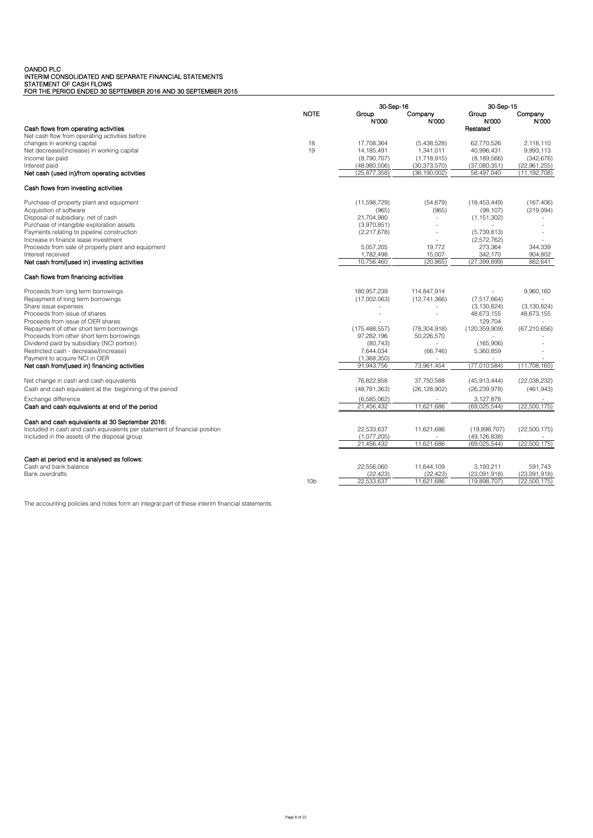OANDO PLC<br>INTERIM CONSOLIDATED AND SEPARATE FINANCIAL STATEMENTS<br>STATEMENT OF CASH FLOWS<br>FOR THE PERIOD ENDED 30 SEPTEMBER 2016 AND 30 SEPTEMBER 2015

|                                                                           | 30-Sep-16       |                             |                               | 30-Sep-15                   |                         |
|---------------------------------------------------------------------------|-----------------|-----------------------------|-------------------------------|-----------------------------|-------------------------|
|                                                                           | <b>NOTE</b>     | Group<br>N'000              | Company<br>N'000              | Group<br>N'000              | Company<br>N'000        |
| Cash flows from operating activities                                      |                 |                             |                               | Restated                    |                         |
| Net cash flow from operating activities before                            |                 |                             |                               |                             |                         |
| changes in working capital                                                | 18<br>19        | 17.708.364                  | (5,438,528)                   | 62.770.526                  | 2.118.110               |
| Net decrease/(increase) in working capital<br>Income tax paid             |                 | 14, 185, 491<br>(8,790,707) | 1,341,011                     | 40,996,431<br>(8, 189, 566) | 9.993.113<br>(342, 676) |
| Interest paid                                                             |                 | (48,980,506)                | (1,718,915)<br>(30, 373, 570) | (37,080,351)                | (22,961,255)            |
| Net cash (used in)/from operating activities                              |                 | (25, 877, 358)              | (36, 190, 002)                | 58,497,040                  | (11, 192, 708)          |
|                                                                           |                 |                             |                               |                             |                         |
| Cash flows from investing activities                                      |                 |                             |                               |                             |                         |
| Purchase of property plant and equipment                                  |                 | (11,598,729)                | (54, 679)                     | (18, 453, 449)              | (167, 406)              |
| Acquisition of software                                                   |                 | (965)                       | (965)                         | (98, 107)                   | (219,094)               |
| Disposal of subsidiary, net of cash                                       |                 | 21,704,980                  | $\omega$                      | (1, 151, 302)               |                         |
| Purchase of intangible exploration assets                                 |                 | (3,970,851)                 |                               |                             |                         |
| Payments relating to pipeline construction                                |                 | (2,217,678)                 |                               | (5,739,813)                 |                         |
| Increase in finance lease investment                                      |                 |                             | 19.772                        | (2,572,762)                 | 344.339                 |
| Proceeds from sale of property plant and equipment<br>Interest received   |                 | 5,057,205<br>1,782,498      | 15,007                        | 273,364<br>342,170          | 904,802                 |
| Net cash from/(used in) investing activities                              |                 | 10,756,460                  | (20, 865)                     | (27, 399, 899)              | 862,641                 |
|                                                                           |                 |                             |                               |                             |                         |
| Cash flows from financing activities                                      |                 |                             |                               |                             |                         |
| Proceeds from long term borrowings                                        |                 | 180,957,239                 | 114,847,914                   |                             | 9,960,160               |
| Repayment of long term borrowings                                         |                 | (17,002,063)                | (12,741,366)                  | (7, 517, 664)               |                         |
| Share issue expenses                                                      |                 |                             | $\overline{\phantom{a}}$      | (3, 130, 824)               | (3, 130, 824)           |
| Proceeds from issue of shares                                             |                 |                             | $\overline{a}$                | 48,673,155                  | 48,673,155              |
| Proceeds from issue of OER shares                                         |                 |                             |                               | 129,704                     |                         |
| Repayment of other short term borrowings                                  |                 | (175, 488, 557)             | (78, 304, 918)                | (120, 359, 909)             | (67, 210, 656)          |
| Proceeds from other short term borrowings                                 |                 | 97,282,196                  | 50,226,570                    |                             |                         |
| Dividend paid by subsidiary (NCI portion)                                 |                 | (80, 743)                   |                               | (165,906)                   |                         |
| Restricted cash - decrease/(increase)<br>Payment to acquire NCI in OER    |                 | 7,644,034<br>(1,368,350)    | (66, 746)                     | 5,360,859                   |                         |
| Net cash from/(used in) financing activities                              |                 | 91,943,756                  | 73,961,454                    | (77,010,584)                | (11,708,165)            |
|                                                                           |                 |                             |                               |                             |                         |
| Net change in cash and cash equivalents                                   |                 | 76,822,858                  | 37,750,588                    | (45,913,444)                | (22,038,232)            |
| Cash and cash equivalent at the beginning of the period                   |                 | (48, 781, 363)              | (26, 128, 902)                | (26, 239, 978)              | (461, 943)              |
| Exchange difference                                                       |                 | (6,585,062)                 |                               | 3,127,878                   |                         |
| Cash and cash equivalents at end of the period                            |                 | 21,456,432                  | 11.621.686                    | (69, 025, 544)              | (22, 500, 175)          |
| Cash and cash equivalents at 30 September 2016:                           |                 |                             |                               |                             |                         |
| Included in cash and cash equivalents per statement of financial position |                 | 22,533,637                  | 11,621,686                    | (19,898,707)                | (22,500,175)            |
| Included in the assets of the disposal group                              |                 | (1,077,205)                 | ÷                             | (49, 126, 838)              |                         |
|                                                                           |                 | 21,456,432                  | 11,621,686                    | (69, 025, 544)              | (22,500,175)            |
| Cash at period end is analysed as follows:                                |                 |                             |                               |                             |                         |
| Cash and bank balance                                                     |                 | 22,556,060                  | 11,644,109                    | 3,193,211                   | 591,743                 |
| <b>Bank overdrafts</b>                                                    |                 | (22, 423)                   | (22, 423)                     | (23,091,918)                | (23,091,918)            |
|                                                                           | 10 <sub>b</sub> | 22,533,637                  | 11,621,686                    | (19,898,707)                | (22,500,175)            |

The accounting policies and notes form an integral part of these interim financial statements.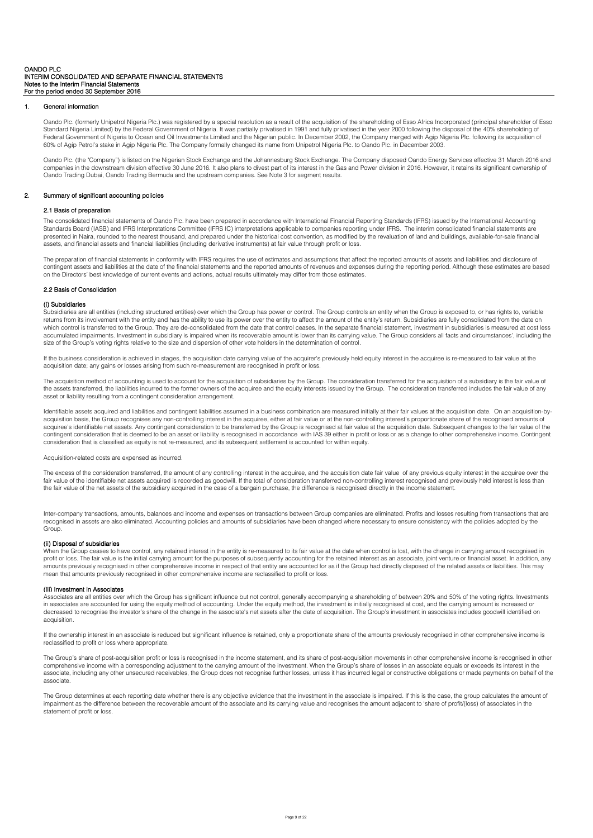# 1. General information

Oando Plc. (formerly Unipetrol Nigeria Plc.) was registered by a special resolution as a result of the acquisition of the shareholding of Esso Africa Incorporated (principal shareholder of Esso<br>Standard Nigeria Limited) by Federal Government of Nigeria to Ocean and Oil Investments Limited and the Nigerian public. In December 2002, the Company merged with Agip Nigeria Plc. following its acquisition of 60% of Agip Petrol's stake in Agip Nigeria Plc. The Company formally changed its name from Unipetrol Nigeria Plc. to Oando Plc. in December 2003.

Oando Plc. (the "Company") is listed on the Nigerian Stock Exchange and the Johannesburg Stock Exchange. The Company disposed Oando Energy Services effective 31 March 2016 and companies in the downstream division effective 30 June 2016. It also plans to divest part of its interest in the Gas and Power division in 2016. However, it retains its significant ownership of Oando Trading Dubai, Oando Trading Bermuda and the upstream companies. See Note 3 for segment results.

# 2. Summary of significant accounting policies

### 2.1 Basis of preparation

The consolidated financial statements of Oando Plc. have been prepared in accordance with International Financial Reporting Standards (IFRS) issued by the International Accounting Standards Board (IASB) and IFRS Interpretations Committee (IFRS IC) interpretations applicable to companies reporting under IFRS. The interim consolidated financial statements are presented in Naira, rounded to the nearest thousand, and prepared under the historical cost convention, as modified by the revaluation of land and buildings, available-for-sale financial assets, and financial assets and financial liabilities (including derivative instruments) at fair value through profit or loss.

The preparation of financial statements in conformity with IFRS requires the use of estimates and assumptions that affect the reported amounts of assets and liabilities and disclosure of contingent assets and liabilities at the date of the financial statements and the reported amounts of revenues and expenses during the reporting period. Although these estimates are based on the Directors' best knowledge of current events and actions, actual results ultimately may differ from those estimates.

#### 2.2 Basis of Consolidation

# (i) Subsidiaries

.<br>Ubsidiaries are all entities (including structured entities) over which the Group has power or control. The Group controls an entity when the Group is exposed to, or has rights to, variable returns from its involvement with the entity and has the ability to use its power over the entity to affect the amount of the entity's return. Subsidiaries are fully consolidated from the date on which control is transferred to the Group. They are de-consolidated from the date that control ceases. In the separate financial statement, investment in subsidiaries is measured at cost less mulated impairments. Investment in subsidiary is impaired when its recoverable amount is lower than its carrying value. The Group considers all facts and circumstances', including the accumulated impairments. Investment in size of the Group's voting rights relative to the size and dispersion of other vote holders in the determination of control.

If the business consideration is achieved in stages, the acquisition date carrying value of the acquirer's previously held equity interest in the acquiree is re-measured to fair value at the acquisition date; any gains or losses arising from such re-measurement are recognised in profit or loss.

The acquisition method of accounting is used to account for the acquisition of subsidiaries by the Group. The consideration transferred for the acquisition of a subsidiary is the fair value of the assets transferred, the liabilities incurred to the former owners of the acquiree and the equity interests issued by the Group. The consideration transferred includes the fair value of any asset or liability resulting from a contingent consideration arrangement.

Identifiable assets acquired and liabilities and contingent liabilities assumed in a business combination are measured initially at their fair values at the acquisition date. On an acquisition-byacquisition basis, the Group recognises any non-controlling interest in the acquiree, either at fair value or at the non-controlling interest's proportionate share of the recognised amounts of acquiree's identifiable net assets. Any contingent consideration to be transferred by the Group is recognised at fair value at the acquisition date. Subsequent changes to the fair value of the contingent consideration that is deemed to be an asset or liability is recognised in accordance with IAS 39 either in profit or loss or as a change to other comprehensive income. Contingent consideration that is classified as equity is not re-measured, and its subsequent settlement is accounted for within equity.

### Acquisition-related costs are expensed as incurred.

The excess of the consideration transferred, the amount of any controlling interest in the acquiree, and the acquisition date fair value of any previous equity interest in the acquiree over the fair value of the identifiable net assets acquired is recorded as goodwill. If the total of consideration transferred non-controlling interest recognised and previously held interest is less than the fair value of the net assets of the subsidiary acquired in the case of a bargain purchase, the difference is recognised directly in the income statement.

Inter-company transactions, amounts, balances and income and expenses on transactions between Group companies are eliminated. Profits and losses resulting from transactions that are recognised in assets are also eliminated. Accounting policies and amounts of subsidiaries have been changed where necessary to ensure consistency with the policies adopted by the **Group** 

# (ii) Disposal of subsidiaries

When the Group ceases to have control, any retained interest in the entity is re-measured to its fair value at the date when control is lost, with the change in carrying amount recognised in profit or loss. The fair value is the initial carrying amount for the purposes of subsequently accounting for the retained interest as an associate, joint venture or financial asset. In addition, any amounts previously recognised in other comprehensive income in respect of that entity are accounted for as if the Group had directly disposed of the related assets or liabilities. This may mean that amounts previously recognised in other comprehensive income are reclassified to profit or loss.

#### (iii) Investment in Associates

Associates are all entities over which the Group has significant influence but not control, generally accompanying a shareholding of between 20% and 50% of the voting rights. Investments in associates are accounted for using the equity method of accounting. Under the equity method, the investment is initially recognised at cost, and the carrying amount is increased or<br>decreased to recognise the investor's acquisition.

If the ownership interest in an associate is reduced but significant influence is retained, only a proportionate share of the amounts previously recognised in other comprehensive income is reclassified to profit or loss where appropriate.

The Group's share of post-acquisition profit or loss is recognised in the income statement, and its share of post-acquisition movements in other comprehensive income is recognised in other comprehensive income with a corresponding adjustment to the carrying amount of the investment. When the Group's share of losses in an associate equals or exceeds its interest in the associate, including any other unsecured receivables, the Group does not recognise further losses, unless it has incurred legal or constructive obligations or made payments on behalf of the associate.

The Group determines at each reporting date whether there is any objective evidence that the investment in the associate is impaired. If this is the case, the group calculates the amount of impairment as the difference between the recoverable amount of the associate and its carrying value and recognises the amount adjacent to 'share of profit/(loss) of associates in the statement of profit or loss.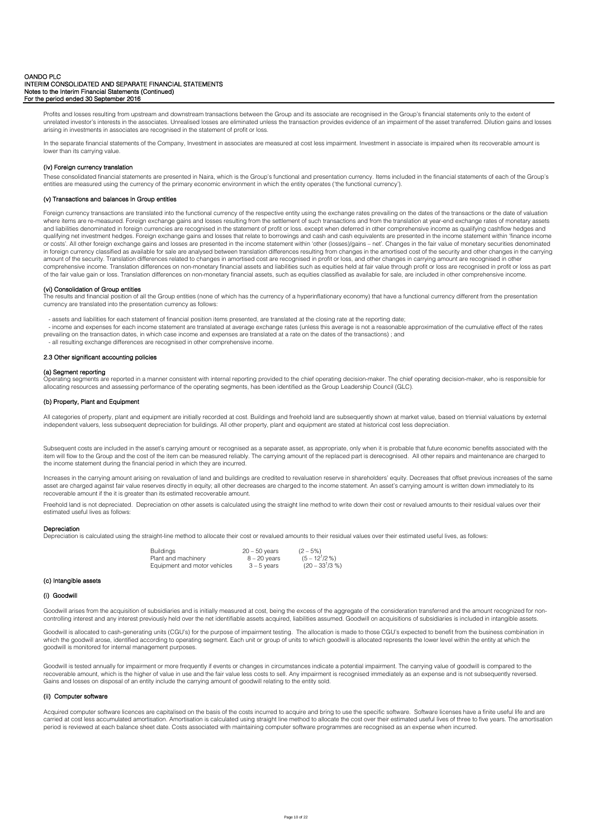Profits and losses resulting from upstream and downstream transactions between the Group and its associate are recognised in the Group's financial statements only to the extent of unrelated investor's interests in the associates. Unrealised losses are eliminated unless the transaction provides evidence of an impairment of the asset transferred. Dilution gains and losses arising in investments in associates are recognised in the statement of profit or loss.

In the separate financial statements of the Company, Investment in associates are measured at cost less impairment, Investment in associate is impaired when its recoverable amount is lower than its carrying value.

# (iv) Foreign currency translation

These consolidated financial statements are presented in Naira, which is the Group's functional and presentation currency. Items included in the financial statements of each of the Group's entities are measured using the currency of the primary economic environment in which the entity operates ('the functional currency').

# (v) Transactions and balances in Group entities

Foreign currency transactions are translated into the functional currency of the respective entity using the exchange rates prevailing on the dates of the transactions or the date of valuation where items are re-measured. Foreign exchange gains and losses resulting from the settlement of such transactions and from the translation at year-end exchange rates of monetary assets and liabilities denominated in foreign currencies are recognised in the statement of profit or loss. except when deferred in other comprehensive income as qualifying cashflow hedges and qualifying net investment hedges. Foreign exchange gains and losses that relate to borrowings and cash and cash equivalents are presented in the income statement within 'finance income or costs'. All other foreign exchange gains and losses are presented in the income statement within 'other (losses)/gains – net'. Changes in the fair value of monetary securities denominated in foreign currency classified as available for sale are analysed between translation differences resulting from changes in the amortised cost of the security and other changes in the carrying amount of the security. Translation differences related to changes in amortised cost are recognised in profit or loss, and other changes in carrying amount are recognised in other comprehensive income. Translation differences on non-monetary financial assets and liabilities such as equities held at fair value through profit or loss are recognised in profit or loss as part of the fair value gain or loss. Translation differences on non-monetary financial assets, such as equities classified as available for sale, are included in other comprehensive income.

# (vi) Consolidation of Group entities

The results and financial position of all the Group entities (none of which has the currency of a hyperinflationary economy) that have a functional currency different from the presentation currency are translated into the presentation currency as follows:

- assets and liabilities for each statement of financial position items presented, are translated at the closing rate at the reporting date;

 - income and expenses for each income statement are translated at average exchange rates (unless this average is not a reasonable approximation of the cumulative effect of the rates prevailing on the transaction dates, in which case income and expenses are translated at a rate on the dates of the transactions) ; and

- all resulting exchange differences are recognised in other comprehensive income.

# 2.3 Other significant accounting policies

#### (a) Segment reporting

rating segments are reported in a manner consistent with internal reporting provided to the chief operating decision-maker. The chief operating decision-maker, who is responsible for allocating resources and assessing performance of the operating segments, has been identified as the Group Leadership Council (GLC).

# (b) Property, Plant and Equipment

All categories of property, plant and equipment are initially recorded at cost. Buildings and freehold land are subsequently shown at market value, based on triennial valuations by external independent valuers, less subsequent depreciation for buildings. All other property, plant and equipment are stated at historical cost less depreciation.

Subsequent costs are included in the asset's carrying amount or recognised as a separate asset, as appropriate, only when it is probable that future economic benefits associated with the item will flow to the Group and the cost of the item can be measured reliably. The carrying amount of the replaced part is derecognised. All other repairs and maintenance are charged to the income statement during the financial period in which they are incurred.

Increases in the carrying amount arising on revaluation of land and buildings are credited to revaluation reserve in shareholders' equity. Decreases that offset previous increases of the same asset are charged against fair value reserves directly in equity; all other decreases are charged to the income statement. An asset's carrying amount is written down immediately to its recoverable amount if the it is greater than its estimated recoverable amount.

Freehold land is not depreciated. Depreciation on other assets is calculated using the straight line method to write down their cost or revalued amounts to their residual values over their estimated useful lives as follows:

# Depreciation

Depreciation is calculated using the straight-line method to allocate their cost or revalued amounts to their residual values over their estimated useful lives, as follows:

| <b>Buildings</b>             | $20 - 50$ years | $(2 - 5\%)$          |
|------------------------------|-----------------|----------------------|
| Plant and machinery          | $8 - 20$ years  | $(5 - 12^{1}/2%)$    |
| Equipment and motor vehicles | $3 - 5$ vears   | $(20 - 33^{1}/3 \%)$ |

# (c) Intangible assets

#### (i) Goodwill

Goodwill arises from the acquisition of subsidiaries and is initially measured at cost, being the excess of the aggregate of the consideration transferred and the amount recognized for noncontrolling interest and any interest previously held over the net identifiable assets acquired, liabilities assumed. Goodwill on acquisitions of subsidiaries is included in intangible assets.

Goodwill is allocated to cash-generating units (CGU's) for the purpose of impairment testing. The allocation is made to those CGU's expected to benefit from the business combination in<br>which the goodwill arose, identified goodwill is monitored for internal management purposes.

Goodwill is tested annually for impairment or more frequently if events or changes in circumstances indicate a potential impairment. The carrying value of goodwill is compared to the<br>recoverable amount, which is the higher Gains and losses on disposal of an entity include the carrying amount of goodwill relating to the entity sold.

# (ii) Computer software

Acquired computer software licences are capitalised on the basis of the costs incurred to acquire and bring to use the specific software. Software licenses have a finite useful life and are carried at cost less accumulated amortisation. Amortisation is calculated using straight line method to allocate the cost over their estimated useful lives of three to five years. The amortisation period is reviewed at each balance sheet date. Costs associated with maintaining computer software programmes are recognised as an expense when incurred.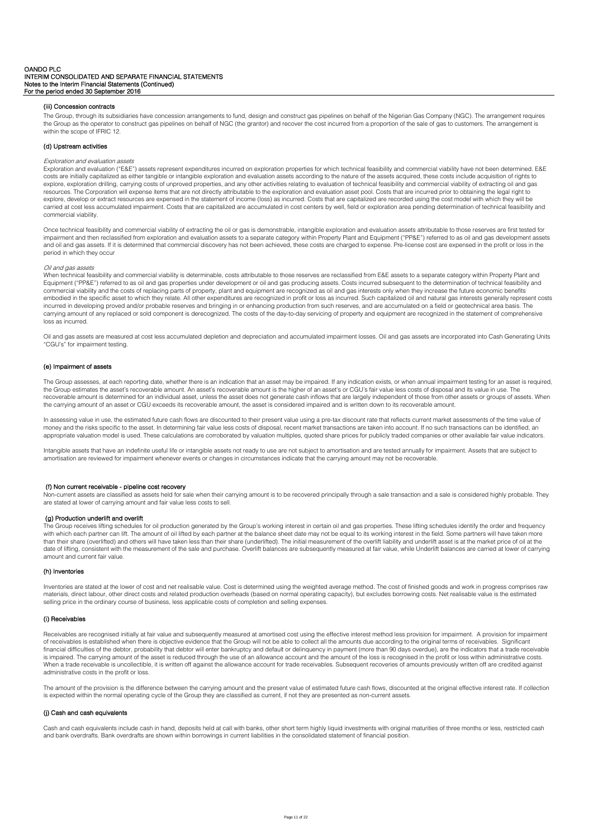# (iii) Concession contracts

The Group, through its subsidiaries have concession arrangements to fund, design and construct gas pipelines on behalf of the Nigerian Gas Company (NGC). The arrangement requires the Group as the operator to construct gas pipelines on behalf of NGC (the grantor) and recover the cost incurred from a proportion of the sale of gas to customers. The arrangement is within the scope of IFRIC 12.

# (d) Upstream activities

# Exploration and evaluation assets

Exploration and evaluation ("E&E") assets represent expenditures incurred on exploration properties for which technical feasibility and commercial viability have not been determined. E&E costs are initially capitalized as either tangible or intangible exploration and evaluation assets according to the nature of the assets acquired, these costs include acquisition of rights to explore, exploration drilling, carrying costs of unproved properties, and any other activities relating to evaluation of technical feasibility and commercial viability of extracting oil and gas resources. The Corporation will expense items that are not directly attributable to the exploration and evaluation asset pool. Costs that are incurred prior to obtaining the legal right to explore, develop or extract resources are expensed in the statement of income (loss) as incurred. Costs that are capitalized are recorded using the cost model with which they will be carried at cost less accumulated impairment. Costs that are capitalized are accumulated in cost centers by well, field or exploration area pending determination of technical feasibility and commercial viability.

Once technical feasibility and commercial viability of extracting the oil or gas is demonstrable, intangible exploration and evaluation assets attributable to those reserves are first tested for impairment and then reclassified from exploration and evaluation assets to a separate category within Property Plant and Equipment ("PP&E") referred to as oil and gas development assets and oil and gas assets. If it is determined that commercial discovery has not been achieved, these costs are charged to expense. Pre-license cost are expensed in the profit or loss in the period in which they occur

# Oil and gas assets

When technical feasibility and commercial viability is determinable, costs attributable to those reserves are reclassified from E&E assets to a separate category within Property Plant and Equipment ("PP&E") referred to as oil and gas properties under development or oil and gas producing assets. Costs incurred subsequent to the determination of technical feasibility and commercial viability and the costs of replacing parts of property, plant and equipment are recognized as oil and gas interests only when they increase the future economic benefits embodied in the specific asset to which they relate. All other expenditures are recognized in profit or loss as incurred. Such capitalized oil and natural gas interests generally represent costs incurred in developing proved and/or probable reserves and bringing in or enhancing production from such reserves, and are accumulated on a field or geotechnical area basis. The<br>carrying amount of any replaced or sold comp loss as incurred.

Oil and gas assets are measured at cost less accumulated depletion and depreciation and accumulated impairment losses. Oil and gas assets are incorporated into Cash Generating Units "CGU's" for impairment testing.

# (e) Impairment of assets

The Group assesses, at each reporting date, whether there is an indication that an asset may be impaired. If any indication exists, or when annual impairment testing for an asset is required, the Group estimates the asset's recoverable amount. An asset's recoverable amount is the higher of an asset's or CGU's fair value less costs of disposal and its value in use. The recoverable amount is determined for an individual asset, unless the asset does not generate cash inflows that are largely independent of those from other assets or groups of assets. When the carrying amount of an asset or CGU exceeds its recoverable amount, the asset is considered impaired and is written down to its recoverable amount.

In assessing value in use, the estimated future cash flows are discounted to their present value using a pre-tax discount rate that reflects current market assessments of the time value of<br>money and the risks specific to t appropriate valuation model is used. These calculations are corroborated by valuation multiples, quoted share prices for publicly traded companies or other available fair value indicators.

Intangible assets that have an indefinite useful life or intangible assets not ready to use are not subject to amortisation and are tested annually for impairment. Assets that are subject to amortisation are reviewed for impairment whenever events or changes in circumstances indicate that the carrying amount may not be recoverable.

# (f) Non current receivable - pipeline cost recovery

Non-current assets are classified as assets held for sale when their carrying amount is to be recovered principally through a sale transaction and a sale is considered highly probable. They are stated at lower of carrying amount and fair value less costs to sell.

#### (g) Production underlift and overlift

The Group receives lifting schedules for oil production generated by the Group's working interest in certain oil and gas properties. These lifting schedules identify the order and frequency<br>with which each partner can lift than their share (overlifted) and others will have taken less than their share (underlifted). The initial measurement of the overlift liability and underlift asset is at the market price of oil at the date of lifting, consistent with the measurement of the sale and purchase. Overlift balances are subsequently measured at fair value, while Underlift balances are carried at lower of carrying amount and current fair value.

# (h) Inventories

Inventories are stated at the lower of cost and net realisable value. Cost is determined using the weighted average method. The cost of finished goods and work in progress comprises raw materials, direct labour, other direct costs and related production overheads (based on normal operating capacity), but excludes borrowing costs. Net realisable value is the estimated selling price in the ordinary course of business, less applicable costs of completion and selling expenses.

#### (i) Receivables

Receivables are recognised initially at fair value and subsequently measured at amortised cost using the effective interest method less provision for impairment. A provision for impairment of receivables is established when there is objective evidence that the Group will not be able to collect all the amounts due according to the original terms of receivables. Significant financial difficulties of the debtor, probability that debtor will enter bankruptcy and default or delinquency in payment (more than 90 days overdue), are the indicators that a trade receivable is impaired. The carrying amount of the asset is reduced through the use of an allowance account and the amount of the loss is recognised in the profit or loss within administrative costs. When a trade receivable is uncollectible, it is written off against the allowance account for trade receivables. Subsequent recoveries of amounts previously written off are credited against administrative costs in the profit or loss.

The amount of the provision is the difference between the carrying amount and the present value of estimated future cash flows, discounted at the original effective interest rate. If collection is expected within the normal operating cycle of the Group they are classified as current, if not they are presented as non-current assets.

# (j) Cash and cash equivalents

Cash and cash equivalents include cash in hand, deposits held at call with banks, other short term highly liquid investments with original maturities of three months or less, restricted cash and bank overdrafts. Bank overdrafts are shown within borrowings in current liabilities in the consolidated statement of financial position.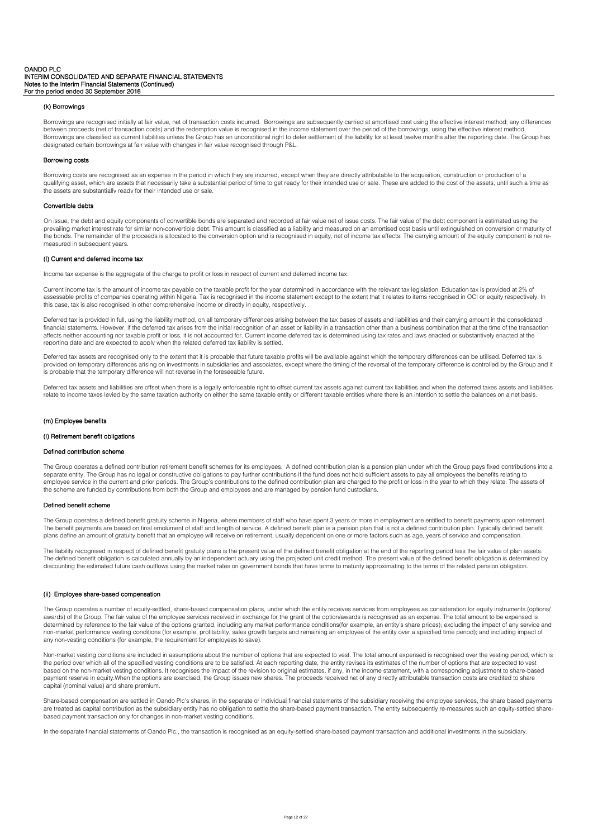# (k) Borrowings

Borrowings are recognised initially at fair value, net of transaction costs incurred. Borrowings are subsequently carried at amortised cost using the effective interest method; any differences between proceeds (net of transaction costs) and the redemption value is recognised in the income statement over the period of the borrowings, using the effective interest method. Borrowings are classified as current liabilities unless the Group has an unconditional right to defer settlement of the liability for at least twelve months after the reporting date. The Group has designated certain borrowings at fair value with changes in fair value recognised through P&L.

#### Borrowing costs

Borrowing costs are recognised as an expense in the period in which they are incurred, except when they are directly attributable to the acquisition, construction or production of a qualifying asset, which are assets that necessarily take a substantial period of time to get ready for their intended use or sale. These are added to the cost of the assets, until such a time as the assets are substantially ready for their intended use or sale.

#### Convertible debts

On issue, the debt and equity components of convertible bonds are separated and recorded at fair value net of issue costs. The fair value of the debt component is estimated using the prevailing market interest rate for similar non-convertible debt. This amount is classified as a liability and measured on an amortised cost basis until extinguished on conversion or maturity of the bonds. The remainder of the proceeds is allocated to the conversion option and is recognised in equity, net of income tax effects. The carrying amount of the equity component is not remeasured in subsequent years.

# (l) Current and deferred income tax

Income tax expense is the aggregate of the charge to profit or loss in respect of current and deferred income tax.

Current income tax is the amount of income tax payable on the taxable profit for the year determined in accordance with the relevant tax legislation. Education tax is provided at 2% of assessable profits of companies operating within Nigeria. Tax is recognised in the income statement except to the extent that it relates to items recognised in OCI or equity respectively. In this case, tax is also recognised in other comprehensive income or directly in equity, respectively.

Deferred tax is provided in full, using the liability method, on all temporary differences arising between the tax bases of assets and liabilities and their carrying amount in the consolidated financial statements. However, if the deferred tax arises from the initial recognition of an asset or liability in a transaction other than a business combination that at the time of the transaction influences neither accounting nor taxable profit or loss, it is not accounted for. Current income deferred tax is determined using tax rates and laws enacted or substantively enacted at the reporting date and are expected to apply when the related deferred tax liability is settled.

Deferred tax assets are recognised only to the extent that it is probable that future taxable profits will be available against which the temporary differences can be utilised. Deferred tax is provided on temporary differences arising on investments in subsidiaries and associates, except where the timing of the reversal of the temporary difference is controlled by the Group and it is probable that the temporary difference will not reverse in the foreseeable future.

Deferred tax assets and liabilities are offset when there is a legally enforceable right to offset current tax assets against current tax labilities and when the deferred taxes assets and liabilities relate to income taxes levied by the same taxation authority on either the same taxable entity or different taxable entities where there is an intention to settle the balances on a net basis

# (m) Employee benefits

# (i) Retirement benefit obligations

# Defined contribution scheme

The Group operates a defined contribution retirement benefit schemes for its employees. A defined contribution plan is a pension plan under which the Group pays fixed contributions into a separate entity. The Group has no legal or constructive obligations to pay further contributions if the fund does not hold sufficient assets to pay all employees the benefits relating to employee service in the current and prior periods. The Group's contributions to the defined contribution plan are charged to the profit or loss in the year to which they relate. The assets of the scheme are funded by contributions from both the Group and employees and are managed by pension fund custodians.

#### Defined benefit scheme

The Group operates a defined benefit gratuity scheme in Nigeria, where members of staff who have spent 3 years or more in employment are entitled to benefit payments upon retirement. The benefit payments are based on final emolument of staff and length of service. A defined benefit plan is a pension plan that is not a defined contribution plan. Typically defined benefit plans define an amount of gratuity benefit that an employee will receive on retirement, usually dependent on one or more factors such as age, years of service and compensation

The liability recognised in respect of defined benefit gratuity plans is the present value of the defined benefit obligation at the end of the reporting period less the fair value of plan assets. The defined benefit obligation is calculated annually by an independent actuary using the projected unit credit method. The present value of the defined benefit obligation is determined by discounting the estimated future cash outflows using the market rates on government bonds that have terms to maturity approximating to the terms of the related pension obligation.

# (ii) Employee share-based compensation

The Group operates a number of equity-settled, share-based compensation plans, under which the entity receives services from employees as consideration for equity instruments (options/ awards) of the Group. The fair value of the employee services received in exchange for the grant of the option/awards is recognised as an expense. The total amount to be expensed is determined by reference to the fair value of the options granted, including any market performance conditions(for example, an entity's share prices); excluding the impact of any service and non-market performance vesting conditions (for example, profitability, sales growth targets and remaining an employee of the entity over a specified time period); and including impact of any non-vesting conditions (for example, the requirement for employees to save).

Non-market vesting conditions are included in assumptions about the number of options that are expected to vest. The total amount expensed is recognised over the vesting period, which is the period over which all of the specified vesting conditions are to be satisfied. At each reporting date, the entity revises its estimates of the number of options that are expected to vest based on the non-market vesting conditions. It recognises the impact of the revision to original estimates, if any, in the income statement, with a corresponding adjustment to share-based payment reserve in equity.When the options are exercised, the Group issues new shares. The proceeds received net of any directly attributable transaction costs are credited to share capital (nominal value) and share premium.

Share-based compensation are settled in Oando Plc's shares, in the separate or individual financial statements of the subsidiary receiving the employee services, the share based payments are treated as capital contribution as the subsidiary entity has no obligation to settle the share-based payment transaction. The entity subsequently re-measures such an equity-settled sharebased payment transaction only for changes in non-market vesting conditions.

In the separate financial statements of Oando Plc., the transaction is recognised as an equity-settled share-based payment transaction and additional investments in the subsidiary.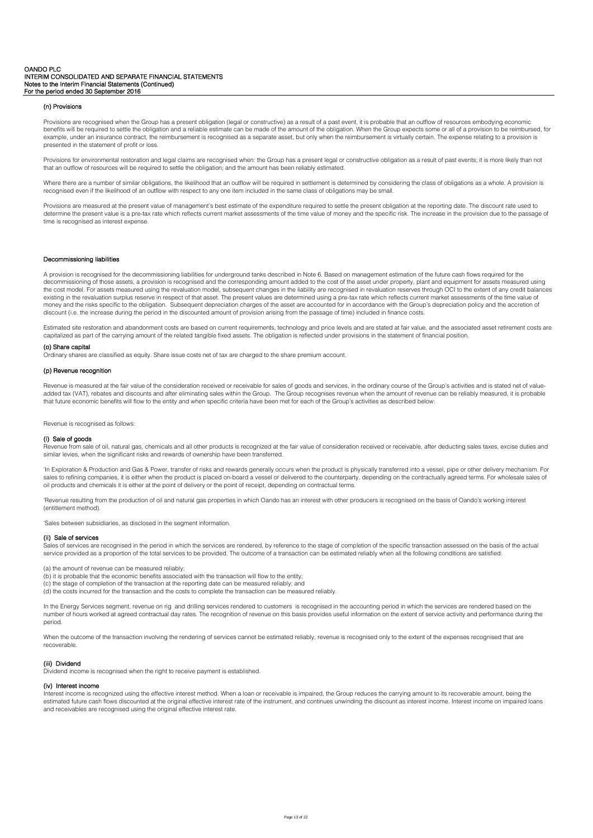# (n) Provisions

Provisions are recognised when the Group has a present obligation (legal or constructive) as a result of a past event, it is probable that an outflow of resources embodying economic benefits will be required to settle the obligation and a reliable estimate can be made of the amount of the obligation. When the Group expects some or all of a provision to be reimbursed, for example, under an insurance contract, the reimbursement is recognised as a separate asset, but only when the reimbursement is virtually certain. The expense relating to a provision is presented in the statement of profit or loss.

Provisions for environmental restoration and legal claims are recognised when: the Group has a present legal or constructive obligation as a result of past events; it is more likely than not that an outflow of resources will be required to settle the obligation; and the amount has been reliably estimated.

Where there are a number of similar obligations, the likelihood that an outflow will be required in settlement is determined by considering the class of obligations as a whole. A provision is recognised even if the likelihood of an outflow with respect to any one item included in the same class of obligations may be small.

Provisions are measured at the present value of management's best estimate of the expenditure required to settle the present obligation at the reporting date. The discount rate used to determine the present value is a pre-tax rate which reflects current market assessments of the time value of money and the specific risk. The increase in the provision due to the passage of time is recognised as interest expense.

# Decommissioning liabilities

A provision is recognised for the decommissioning liabilities for underground tanks described in Note 6. Based on management estimation of the future cash flows required for the decommissioning of those assets, a provision is recognised and the corresponding amount added to the cost of the asset under property, plant and equipment for assets measured using the cost model. For assets measured using the revaluation model, subsequent changes in the liability are recognised in revaluation reserves through OCI to the extent of any credit balances existing in the revaluation surplus reserve in respect of that asset. The present values are determined using a pre-tax rate which reflects current market assessments of the time value of money and the risks specific to the obligation. Subsequent depreciation charges of the asset are accounted for in accordance with the Group's depreciation policy and the accretion of discount (i.e. the increase during the period in the discounted amount of provision arising from the passage of time) included in finance costs.

Estimated site restoration and abandonment costs are based on current requirements, technology and price levels and are stated at fair value, and the associated asset retirement costs are capitalized as part of the carrying amount of the related tangible fixed assets. The obligation is reflected under provisions in the statement of financial position.

#### (o) Share capital

dinary shares are classified as equity. Share issue costs net of tax are charged to the share premium account.

#### (p) Revenue recognition

Revenue is measured at the fair value of the consideration received or receivable for sales of goods and services, in the ordinary course of the Group's activities and is stated net of valueadded tax (VAT), rebates and discounts and after eliminating sales within the Group. The Group recognises revenue when the amount of revenue can be reliably measured, it is probable that future economic benefits will flow to the entity and when specific criteria have been met for each of the Group's activities as described below:

Revenue is recognised as follows:

# (i) Sale of goods

Revenue from sale of oil, natural gas, chemicals and all other products is recognized at the fair value of consideration received or receivable, after deducting sales taxes, excise duties and similar levies, when the significant risks and rewards of ownership have been transferred.

'In Exploration & Production and Gas & Power, transfer of risks and rewards generally occurs when the product is physically transferred into a vessel, pipe or other delivery mechanism. For sales to refining companies, it is either when the product is placed on-board a vessel or delivered to the counterparty, depending on the contractually agreed terms. For wholesale sales of oil products and chemicals it is either at the point of delivery or the point of receipt, depending on contractual terms.

'Revenue resulting from the production of oil and natural gas properties in which Oando has an interest with other producers is recognised on the basis of Oando's working interest (entitlement method).

'Sales between subsidiaries, as disclosed in the segment information.

#### (ii) Sale of services

Sales of services are recognised in the period in which the services are rendered, by reference to the stage of completion of the specific transaction assessed on the basis of the actual service provided as a proportion of the total services to be provided. The outcome of a transaction can be estimated reliably when all the following conditions are satisfied:

(a) the amount of revenue can be measured reliably;

- (b) it is probable that the economic benefits associated with the transaction will flow to the entity;
- (c) the stage of completion of the transaction at the reporting date can be measured reliably; and
- (d) the costs incurred for the transaction and the costs to complete the transaction can be measured reliably.

In the Energy Services segment, revenue on rig and drilling services rendered to customers is recognised in the accounting period in which the services are rendered based on the number of hours worked at agreed contractual day rates. The recognition of revenue on this basis provides useful information on the extent of service activity and performance during the period.

When the outcome of the transaction involving the rendering of services cannot be estimated reliably, revenue is recognised only to the extent of the expenses recognised that are recoverable.

#### (iii) Dividend

Dividend income is recognised when the right to receive payment is established.

### (iv) Interest income

Interest income is recognized using the effective interest method. When a loan or receivable is impaired, the Group reduces the carrying amount to its recoverable amount, being the estimated future cash flows discounted at the original effective interest rate of the instrument, and continues unwinding the discount as interest income. Interest income on impaired loans and receivables are recognised using the original effective interest rate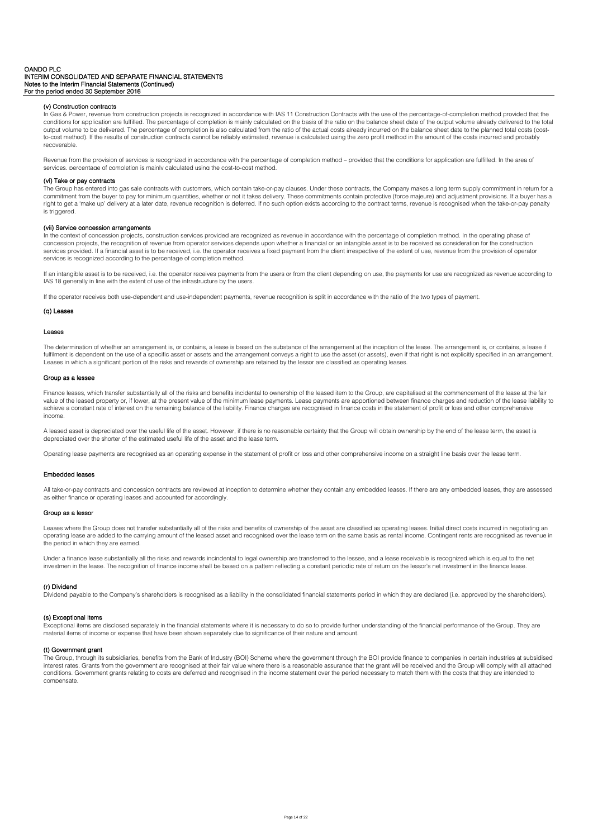# (v) Construction contracts

In Gas & Power, revenue from construction projects is recognized in accordance with IAS 11 Construction Contracts with the use of the percentage-of-completion method provided that the conditions for application are fulfilled. The percentage of completion is mainly calculated on the basis of the ratio on the balance sheet date of the output volume already delivered to the total output volume to be delivered. The percentage of completion is also calculated from the ratio of the actual costs already incurred on the balance sheet date to the planned total costs (costto-cost method). If the results of construction contracts cannot be reliably estimated, revenue is calculated using the zero profit method in the amount of the costs incurred and probably recoverable.

Revenue from the provision of services is recognized in accordance with the percentage of completion method – provided that the conditions for application are fulfilled. In the area of services, percentage of completion is mainly calculated using the cost-to-cost method.

# (vi) Take or pay contracts

The Group has entered into gas sale contracts with customers, which contain take-or-pay clauses. Under these contracts, the Company makes a long term supply commitment in return for a commitment from the buyer to pay for minimum quantities, whether or not it takes delivery. These commitments contain protective (force majeure) and adjustment provisions. If a buyer has a<br>right to get a 'make up' delivery is triggered.

#### (vii) Service concession arrangements

In the context of concession projects, construction services provided are recognized as revenue in accordance with the percentage of completion method. In the operating phase of concession projects, the recognition of revenue from operator services depends upon whether a financial or an intangible asset is to be received as consideration for the construction services provided. If a financial asset is to be received, i.e. the operator receives a fixed payment from the client irrespective of the extent of use, revenue from the provision of operator services is recognized according to the percentage of completion method.

If an intangible asset is to be received, i.e. the operator receives payments from the users or from the client depending on use, the payments for use are recognized as revenue according to IAS 18 generally in line with the extent of use of the infrastructure by the users.

If the operator receives both use-dependent and use-independent payments, revenue recognition is split in accordance with the ratio of the two types of payment.

# (q) Leases

#### Leases

The determination of whether an arrangement is, or contains, a lease is based on the substance of the arrangement at the inception of the lease. The arrangement is, or contains, a lease if fulfilment is dependent on the use of a specific asset or assets and the arrangement conveys a right to use the asset (or assets), even if that right is not explicitly specified in an arrangement. Leases in which a significant portion of the risks and rewards of ownership are retained by the lessor are classified as operating leases.

#### Group as a lessee

Finance leases, which transfer substantially all of the risks and benefits incidental to ownership of the leased item to the Group, are capitalised at the commencement of the lease at the fair value of the leased property or, if lower, at the present value of the minimum lease payments. Lease payments are apportioned between finance charges and reduction of the lease liability to achieve a constant rate of interest on the remaining balance of the liability. Finance charges are recognised in finance costs in the statement of profit or loss and other comprehensive income.

A leased asset is depreciated over the useful life of the asset. However, if there is no reasonable certainty that the Group will obtain ownership by the end of the lease term, the asset is depreciated over the shorter of the estimated useful life of the asset and the lease term.

Operating lease payments are recognised as an operating expense in the statement of profit or loss and other comprehensive income on a straight line basis over the lease term.

# Embedded leases

All take-or-pay contracts and concession contracts are reviewed at inception to determine whether they contain any embedded leases. If there are any embedded leases, they are assessed as either finance or operating leases and accounted for accordingly.

#### Group as a lessor

Leases where the Group does not transfer substantially all of the risks and benefits of ownership of the asset are classified as operating leases. Initial direct costs incurred in negotiating an operating lease are added to the carrying amount of the leased asset and recognised over the lease term on the same basis as rental income. Contingent rents are recognised as revenue in the period in which they are earned.

Under a finance lease substantially all the risks and rewards incindental to legal ownership are transferred to the lessee, and a lease receivable is recognized which is equal to the net investmen in the lease. The recognition of finance income shall be based on a pattern reflecting a constant periodic rate of return on the lessor's net investment in the finance lease.

### (r) Dividend

Dividend payable to the Company's shareholders is recognised as a liability in the consolidated financial statements period in which they are declared (i.e. approved by the shareholders).

# (s) Exceptional items

Exceptional items are disclosed separately in the financial statements where it is necessary to do so to provide further understanding of the financial performance of the Group. They are material items of income or expense that have been shown separately due to significance of their nature and amount.

# (t) Government grant

The Group, through its subsidiaries, benefits from the Bank of Industry (BOI) Scheme where the government through the BOI provide finance to companies in certain industries at subsidised interest rates. Grants from the government are recognised at their fair value where there is a reasonable assurance that the grant will be received and the Group will comply with all attached conditions. Government grants relating to costs are deferred and recognised in the income statement over the period necessary to match them with the costs that they are intended to compensate.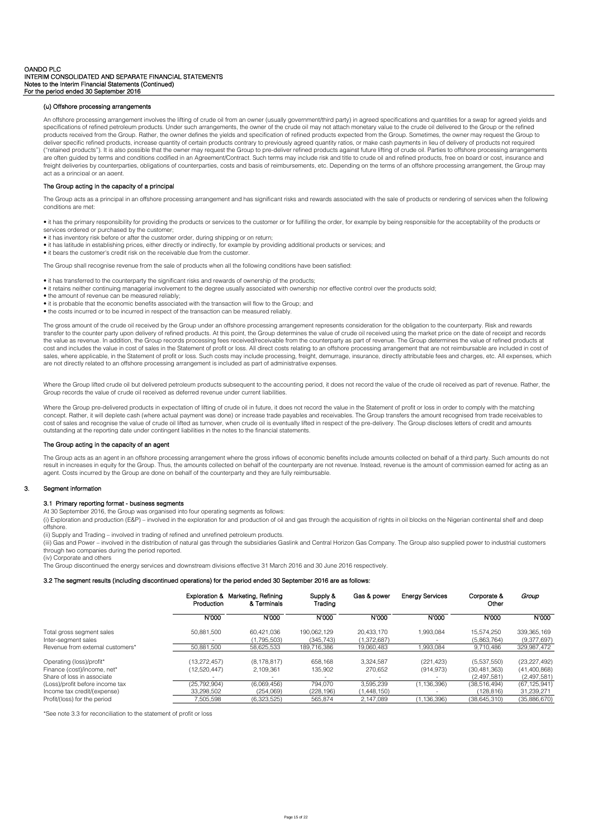# (u) Offshore processing arrangements

An offshore processing arrangement involves the lifting of crude oil from an owner (usually government/third party) in agreed specifications and quantities for a swap for agreed yields and specifications of refined petroleum products. Under such arrangements, the owner of the crude oil may not attach monetary value to the crude oil delivered to the Group or the refined products received from the Group. Rather, the owner defines the yields and specification of refined products expected from the Group. Sometimes, the owner may request the Group to deliver specific refined products, increase quantity of certain products contrary to previously agreed quantity ratios, or make cash payments in lieu of delivery of products not required ("retained products"). It is also possible that the owner may request the Group to pre-deliver refined products against future lifting of crude oil. Parties to offshore processing arrangements are often guided by terms and conditions codified in an Agreement/Contract. Such terms may include risk and title to crude oil and refined products, free on board or cost, insurance and freight deliveries by counterparties, obligations of counterparties, costs and basis of reimbursements, etc. Depending on the terms of an offshore processing arrangement, the Group may act as a principal or an agent

# The Group acting in the capacity of a principal

The Group acts as a principal in an offshore processing arrangement and has significant risks and rewards associated with the sale of products or rendering of services when the following conditions are met:

• it has the primary responsibility for providing the products or services to the customer or for fulfilling the order, for example by being responsible for the acceptability of the products or services ordered or purchased by the customer;

- it has inventory risk before or after the customer order, during shipping or on return;
- it has latitude in establishing prices, either directly or indirectly, for example by providing additional products or services; and
- it bears the customer's credit risk on the receivable due from the customer.

The Group shall recognise revenue from the sale of products when all the following conditions have been satisfied:

• it has transferred to the counterparty the significant risks and rewards of ownership of the products;

- it retains neither continuing managerial involvement to the degree usually associated with ownership nor effective control over the products sold;
- the amount of revenue can be measured reliably;
- it is probable that the economic benefits associated with the transaction will flow to the Group; and
- the costs incurred or to be incurred in respect of the transaction can be measured reliably.

The gross amount of the crude oil received by the Group under an offshore processing arrangement represents consideration for the obligation to the counterparty. Risk and rewards transfer to the counter party upon delivery of refined products. At this point, the Group determines the value of crude oil received using the market price on the date of receipt and records the value as revenue. In addition, the Group records processing fees received/receivable from the counterparty as part of revenue. The Group determines the value of refined products at cost and includes the value in cost of sales in the Statement of profit or loss. All direct costs relating to an offshore processing arrangement that are not reimbursable are included in cost of sales, where applicable, in the Statement of profit or loss. Such costs may include processing, freight, demurrage, insurance, directly attributable fees and charges, etc. All expenses, which are not directly related to an offshore processing arrangement is included as part of administrative expenses.

Where the Group lifted crude oil but delivered petroleum products subsequent to the accounting period, it does not record the value of the crude oil received as part of revenue. Rather, the Group records the value of crude oil received as deferred revenue under current liabilities.

Where the Group pre-delivered products in expectation of lifting of crude oil in future, it does not record the value in the Statement of profit or loss in order to comply with the matching concept. Rather, it will deplete cash (where actual payment was done) or increase trade payables and receivables. The Group transfers the amount recognised from trade receivables to cost of sales and recognise the value of crude oil lifted as turnover, when crude oil is eventually lifted in respect of the pre-delivery. The Group discloses letters of credit and amounts outstanding at the reporting date under contingent liabilities in the notes to the financial statements.

# The Group acting in the capacity of an agent

The Group acts as an agent in an offshore processing arrangement where the gross inflows of economic benefits include amounts collected on behalf of a third party. Such amounts do not result in increases in equity for the Group. Thus, the amounts collected on behalf of the counterparty are not revenue. Instead, revenue is the amount of commission earned for acting as an agent. Costs incurred by the Group are done on behalf of the counterparty and they are fully reimbursable.

#### 3. Segment information

#### 3.1 Primary reporting format - business segments

At 30 September 2016, the Group was organised into four operating segments as follows:

(i) Exploration and production (E&P) – involved in the exploration for and production of oil and gas through the acquisition of rights in oil blocks on the Nigerian continental shelf and deep offshore.

(ii) Supply and Trading – involved in trading of refined and unrefined petroleum products.

(iii) Gas and Power – involved in the distribution of natural gas through the subsidiaries Gaslink and Central Horizon Gas Company. The Group also supplied power to industrial customers through two companies during the period reported.

(iv) Corporate and others

The Group discontinued the energy services and downstream divisions effective 31 March 2016 and 30 June 2016 respectively.

# 3.2 The segment results (including discontinued operations) for the period ended 30 September 2016 are as follows:

|                                  | Production   | Exploration & Marketing, Refining<br>& Terminals | Supply &<br>Trading | Gas & power | <b>Energy Services</b> | Corporate &<br>Other | Group          |
|----------------------------------|--------------|--------------------------------------------------|---------------------|-------------|------------------------|----------------------|----------------|
|                                  | N'000        | N'000                                            | N'000               | N'000       | N'000                  | N'000                | N'000          |
| Total gross segment sales        | 50.881.500   | 60.421.036                                       | 190.062.129         | 20.433.170  | 1.993.084              | 15.574.250           | 339,365,169    |
| Inter-seament sales              |              | (1.795.503)                                      | (345.743)           | (1,372,687) |                        | (5.863.764)          | (9,377,697)    |
| Revenue from external customers* | 50.881.500   | 58.625.533                                       | 189.716.386         | 19.060.483  | 1.993.084              | 9.710.486            | 329.987.472    |
| Operating (loss)/profit*         | (13,272,457) | (8, 178, 817)                                    | 658.168             | 3.324.587   | (221, 423)             | (5,537,550)          | (23, 227, 492) |
| Finance (cost)/income, net*      | (12,520,447) | 2.109.361                                        | 135,902             | 270.652     | (914, 973)             | (30.481.363)         | (41,400,868)   |
| Share of loss in associate       |              |                                                  |                     |             |                        | (2.497.581)          | (2,497,581)    |
| (Loss)/profit before income tax  | (25.792.904) | (6.069.456)                                      | 794.070             | 3.595.239   | (1.136.396)            | (38.516.494)         | (67, 125, 941) |
| Income tax credit/(expense)      | 33.298.502   | (254.069)                                        | (228.196)           | 1,448,150   |                        | (128.816)            | 31.239.271     |
| Profit/(loss) for the period     | 7.505.598    | (6.323.525)                                      | 565.874             | 2.147.089   | (1.136.396)            | (38.645.310)         | (35.886.670)   |

\*See note 3.3 for reconciliation to the statement of profit or loss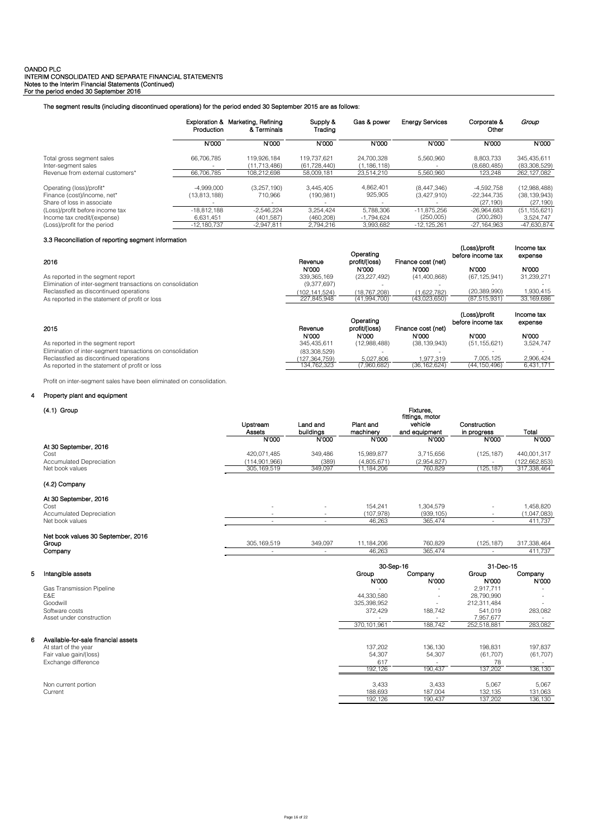The segment results (including discontinued operations) for the period ended 30 September 2015 are as follows:

|                                  | Exploration &<br>Production | Marketing, Refining<br>& Terminals | Supply &<br>Trading | Gas & power   | <b>Energy Services</b> | Corporate &<br>Other | Group          |
|----------------------------------|-----------------------------|------------------------------------|---------------------|---------------|------------------------|----------------------|----------------|
|                                  | N'000                       | N:000                              | N'000               | N'000         | N'000                  | N'000                | N'000          |
| Total gross segment sales        | 66.706.785                  | 119.926.184                        | 119.737.621         | 24.700.328    | 5.560.960              | 8.803.733            | 345.435.611    |
| Inter-segment sales              |                             | (11.713.486)                       | (61, 728, 440)      | (1, 186, 118) |                        | (8,680,485)          | (83,308,529)   |
| Revenue from external customers* | 66.706.785                  | 108.212.698                        | 58.009.181          | 23.514.210    | 5.560.960              | 123.248              | 262.127.082    |
| Operating (loss)/profit*         | $-4.999.000$                | (3,257,190)                        | 3.445.405           | 4.862.401     | (8,447,346)            | -4.592.758           | (12,988,488)   |
| Finance (cost)/income, net*      | (13.813.188)                | 710.966                            | (190, 981)          | 925,905       | (3.427.910)            | $-22.344.735$        | (38, 139, 943) |
| Share of loss in associate       |                             |                                    |                     |               |                        | (27, 190)            | (27, 190)      |
| (Loss)/profit before income tax  | $-18.812.188$               | $-2.546.224$                       | 3.254.424           | 5.788.306     | $-11.875.256$          | $-26.964.683$        | (51, 155, 621) |
| Income tax credit/(expense)      | 6,631,451                   | (401.587)                          | (460, 208)          | $-1.794.624$  | (250,005)              | (200, 280)           | 3.524.747      |
| (Loss)/profit for the period     | $-12.180.737$               | $-2.947.811$                       | 2.794.216           | 3.993.682     | $-12.125.261$          | $-27.164.963$        | -47.630.874    |

# 3.3 Reconciliation of reporting segment information

|                                                            |                  | Operating              |                             | (Loss)/profit<br>before income tax | Income tax<br>expense |
|------------------------------------------------------------|------------------|------------------------|-----------------------------|------------------------------------|-----------------------|
| 2016                                                       | Revenue<br>N'000 | profit/(loss)<br>N'000 | Finance cost (net)<br>N'000 | N'000                              | N'000                 |
| As reported in the segment report                          | 339.365.169      | (23, 227, 492)         | (41,400,868)                | (67, 125, 941)                     | 31,239,271            |
| Elimination of inter-segment transactions on consolidation | (9,377,697)      |                        |                             |                                    |                       |
| Reclassfied as discontinued operations                     | (102.141.524)    | (18.767.208)           | (1.622.782)                 | (20, 389, 990)                     | 1,930,415             |
| As reported in the statement of profit or loss             | 227.845.948      | (41,994,700)           | (43,023,650)                | (87, 515, 931)                     | 33,169,686            |
|                                                            |                  |                        |                             |                                    |                       |
|                                                            |                  | Operating              |                             | (Loss)/profit<br>before income tax | Income tax<br>expense |
| 2015                                                       | Revenue<br>N'000 | profit/(loss)<br>N'000 | Finance cost (net)<br>N 000 | N'000                              | N:000                 |
| As reported in the segment report                          | 345.435.611      | (12,988,488)           | (38, 139, 943)              | (51, 155, 621)                     | 3.524.747             |
| Elimination of inter-segment transactions on consolidation | (83.308.529)     |                        |                             |                                    |                       |
| Reclassfied as discontinued operations                     | (127.364.759)    | 5.027.806              | 1.977.319                   | 7.005.125                          | 2.906.424             |

Profit on inter-segment sales have been eliminated on consolidation.

# 4 Property plant and equipment

#### (4.1) Group Fixtures,

|   |                                     | Upstream                 | Land and                 | Plant and      | fittings, motor<br>vehicle | Construction   |                  |
|---|-------------------------------------|--------------------------|--------------------------|----------------|----------------------------|----------------|------------------|
|   |                                     | Assets                   | buildings                | machinery      | and equipment              | in progress    | Total            |
|   |                                     | N'000                    | N'000                    | N'000          | N'000                      | N'000          | N'000            |
|   | At 30 September, 2016               |                          |                          |                |                            |                |                  |
|   | Cost                                | 420.071.485              | 349.486                  | 15.989.877     | 3.715.656                  | (125, 187)     | 440,001,317      |
|   | Accumulated Depreciation            | (114,901,966)            | (389)                    | (4,805,671)    | (2,954,827)                |                | (122,662,853)    |
|   | Net book values                     | 305, 169, 519            | 349,097                  | 11,184,206     | 760,829                    | (125, 187)     | 317,338,464      |
|   | (4.2) Company                       |                          |                          |                |                            |                |                  |
|   | At 30 September, 2016               |                          |                          |                |                            |                |                  |
|   | Cost                                | $\overline{\phantom{a}}$ |                          | 154,241        | 1,304,579                  |                | 1,458,820        |
|   | Accumulated Depreciation            |                          |                          | (107, 978)     | (939, 105)                 |                | (1,047,083)      |
|   | Net book values                     | ÷                        | $\sim$                   | 46.263         | 365.474                    | $\sim$         | 411.737          |
|   | Net book values 30 September, 2016  |                          |                          |                |                            |                |                  |
|   | Group                               | 305, 169, 519            | 349,097                  | 11,184,206     | 760,829                    | (125, 187)     | 317,338,464      |
|   | Company                             | ٠                        | $\overline{\phantom{a}}$ | 46,263         | 365,474                    |                | 411.737          |
|   |                                     |                          |                          |                | 30-Sep-16                  | 31-Dec-15      |                  |
| 5 | Intangible assets                   |                          |                          | Group<br>N'000 | Company<br>N'000           | Group<br>N'000 | Company<br>N'000 |
|   | Gas Transmission Pipeline           |                          |                          |                |                            | 2,917,711      |                  |
|   | E&E                                 |                          |                          | 44.330.580     |                            | 28.790.990     |                  |
|   | Goodwill                            |                          |                          | 325,398,952    |                            | 212,311,484    |                  |
|   | Software costs                      |                          |                          | 372,429        | 188,742                    | 541.019        | 283,082          |
|   | Asset under construction            |                          |                          |                |                            | 7,957,677      |                  |
|   |                                     |                          |                          | 370.101.961    | 188.742                    | 252,518,881    | 283.082          |
| 6 | Available-for-sale financial assets |                          |                          |                |                            |                |                  |
|   | At start of the year                |                          |                          | 137,202        | 136.130                    | 198,831        | 197,837          |
|   | Fair value gain/(loss)              |                          |                          | 54.307         | 54.307                     | (61.707)       | (61, 707)        |

| Exchange difference | 617     |         |         |         |
|---------------------|---------|---------|---------|---------|
|                     | 192.126 | 190.437 | 137.202 | 136.130 |
|                     |         |         |         |         |
| Non current portion | 3,433   | 3,433   | 5,067   | 5,067   |
| Current             | 188,693 | 187.004 | 132.135 | 131.063 |
|                     | 192.126 | 190.437 | 137,202 | 136.130 |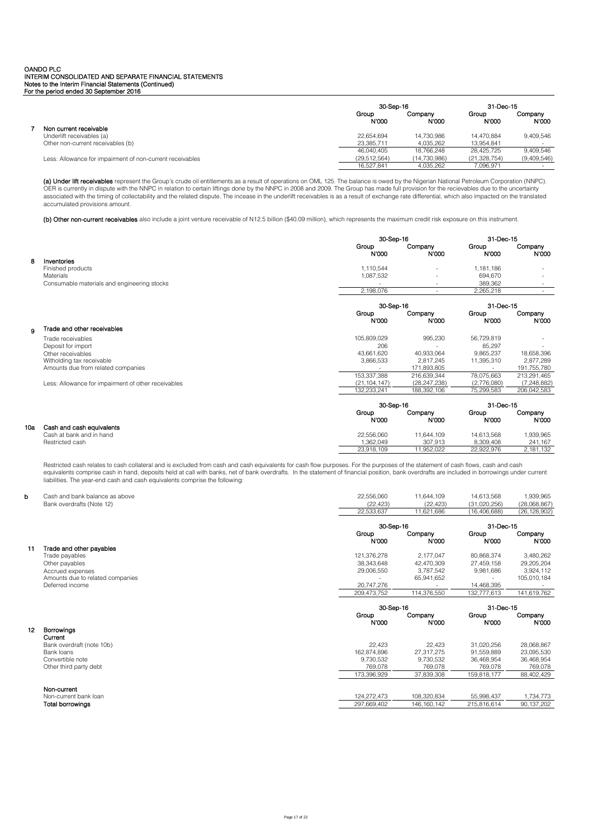|                                                           |                | 30-Sep-16        |                       | 31-Dec-15        |
|-----------------------------------------------------------|----------------|------------------|-----------------------|------------------|
|                                                           | Group<br>N'000 | Companv<br>N'000 | Group<br><b>N'000</b> | Company<br>N'000 |
| Non current receivable                                    |                |                  |                       |                  |
| Underlift receivables (a)                                 | 22.654.694     | 14.730.986       | 14.470.884            | 9.409.546        |
| Other non-current receivables (b)                         | 23.385.711     | 4.035.262        | 13.954.841            |                  |
|                                                           | 46.040.405     | 18.766.248       | 28.425.725            | 9.409.546        |
| Less: Allowance for impairment of non-current receivables | (29.512.564)   | (14.730.986)     | (21, 328, 754)        | (9,409,546)      |
|                                                           | 16.527.841     | 4.035.262        | 7,096,971             | $\sim$           |

**(a) Under lift receivables** represent the Group's crude oil entitlements as a result of operations on OML 125. The balance is owed by the Nigerian National Petroleum Corporation (NNPC).<br>OER is currently in dispute with th accumulated provisions amount.

(b) Other non-current receivables also include a joint venture receivable of N12.5 billion (\$40.09 million), which represents the maximum credit risk exposure on this instrument.

|     |                                                     | 30-Sep-16      |                          | 31-Dec-15      |                  |
|-----|-----------------------------------------------------|----------------|--------------------------|----------------|------------------|
|     |                                                     | Group<br>N'000 | Company<br>N'000         | Group<br>N'000 | Company<br>N'000 |
| 8   | Inventories                                         |                |                          |                |                  |
|     | Finished products                                   | 1,110,544      | $\overline{\phantom{a}}$ | 1,181,186      |                  |
|     | <b>Materials</b>                                    | 1,087,532      |                          | 694.670        |                  |
|     | Consumable materials and engineering stocks         |                | $\overline{\phantom{a}}$ | 389,362        |                  |
|     |                                                     | 2,198,076      | $\overline{\phantom{a}}$ | 2,265,218      | $\sim$           |
|     |                                                     | 30-Sep-16      |                          | 31-Dec-15      |                  |
|     |                                                     | Group<br>N'000 | Company<br>N'000         | Group<br>N'000 | Company<br>N'000 |
| 9   | Trade and other receivables                         |                |                          |                |                  |
|     | Trade receivables                                   | 105,809,029    | 995,230                  | 56,729,819     |                  |
|     | Deposit for import                                  | 206            |                          | 85,297         |                  |
|     | Other receivables                                   | 43,661,620     | 40,933,064               | 9,865,237      | 18,658,396       |
|     | Witholding tax receivable                           | 3,866,533      | 2,817,245                | 11,395,310     | 2,877,289        |
|     | Amounts due from related companies                  |                | 171,893,805              |                | 191.755.780      |
|     |                                                     | 153,337,388    | 216,639,344              | 78,075,663     | 213,291,465      |
|     | Less: Allowance for impairment of other receivables | (21, 104, 147) | (28, 247, 238)           | (2,776,080)    | (7, 248, 882)    |
|     |                                                     | 132,233,241    | 188,392,106              | 75,299,583     | 206,042,583      |
|     |                                                     | 30-Sep-16      |                          | 31-Dec-15      |                  |
|     |                                                     | Group<br>N'000 | Company<br>N'000         | Group<br>N'000 | Company<br>N'000 |
| 10a | Cash and cash equivalents                           |                |                          |                |                  |
|     | Cash at bank and in hand                            | 22,556,060     | 11,644,109               | 14,613,568     | 1,939,965        |
|     | Restricted cash                                     | 1,362,049      | 307,913                  | 8,309,408      | 241,167          |

Restricted cash relates to cash collateral and is excluded from cash and cash equivalents for cash flow purposes. For the purposes of the statement of cash flows, cash and cash<br>equivalents comprise cash in hand, deposits h liabilities. The year-end cash and cash equivalents comprise the following:

23,918,109 11,952,022 22,922,976 2,181,132

# b Cash and bank balance as above 22,556,060 11,644,109 14,613,568 1,939,965 Bank overdrafts (Note 12) (22,423) (22,423) (31,020,256) (28,068,867)

|    |                                           | 22,533,637                 | 11,621,686                   | (16, 406, 688)            | (26, 128, 902)          |  |
|----|-------------------------------------------|----------------------------|------------------------------|---------------------------|-------------------------|--|
|    |                                           |                            |                              |                           |                         |  |
|    |                                           | 30-Sep-16                  |                              |                           | 31-Dec-15               |  |
|    |                                           | Group                      | Company                      | Group                     | Company                 |  |
|    |                                           | N'000                      | N 000                        | N'000                     | N'000                   |  |
| 11 | Trade and other payables                  |                            |                              |                           |                         |  |
|    | Trade payables                            | 121,376,278                | 2,177,047                    | 80,868,374                | 3,480,262               |  |
|    | Other payables                            | 38,343,648                 | 42,470,309                   | 27,459,158                | 29,205,204              |  |
|    | Accrued expenses                          | 29,006,550                 | 3,787,542                    | 9,981,686                 | 3,924,112               |  |
|    | Amounts due to related companies          |                            | 65,941,652                   |                           | 105,010,184             |  |
|    | Deferred income                           | 20,747,276                 |                              | 14,468,395                |                         |  |
|    |                                           | 209,473,752                | 114,376,550                  | 132,777,613               | 141,619,762             |  |
|    |                                           | 30-Sep-16                  |                              | 31-Dec-15                 |                         |  |
|    |                                           | Group<br>N'000             | Company<br>N'000             | Group<br>N'000            | Company<br>N'000        |  |
| 12 | Borrowings                                |                            |                              |                           |                         |  |
|    | Current                                   |                            |                              |                           |                         |  |
|    | Bank overdraft (note 10b)                 | 22,423                     | 22,423                       | 31,020,256                | 28,068,867              |  |
|    | Bank loans                                | 162,874,896                | 27,317,275                   | 91,559,889                | 23,095,530              |  |
|    | Convertible note                          | 9,730,532                  | 9,730,532                    | 36,468,954                | 36,468,954              |  |
|    |                                           |                            |                              |                           |                         |  |
|    | Other third party debt                    | 769,078                    | 769,078                      | 769,078                   | 769,078                 |  |
|    |                                           | 173,396,929                | 37,839,308                   | 159,818,177               | 88,402,429              |  |
|    |                                           |                            |                              |                           |                         |  |
|    | Non-current                               |                            |                              |                           |                         |  |
|    | Non-current bank loan<br>Total borrowings | 124,272,473<br>297,669,402 | 108,320,834<br>146, 160, 142 | 55,998,437<br>215,816,614 | 1,734,773<br>90,137,202 |  |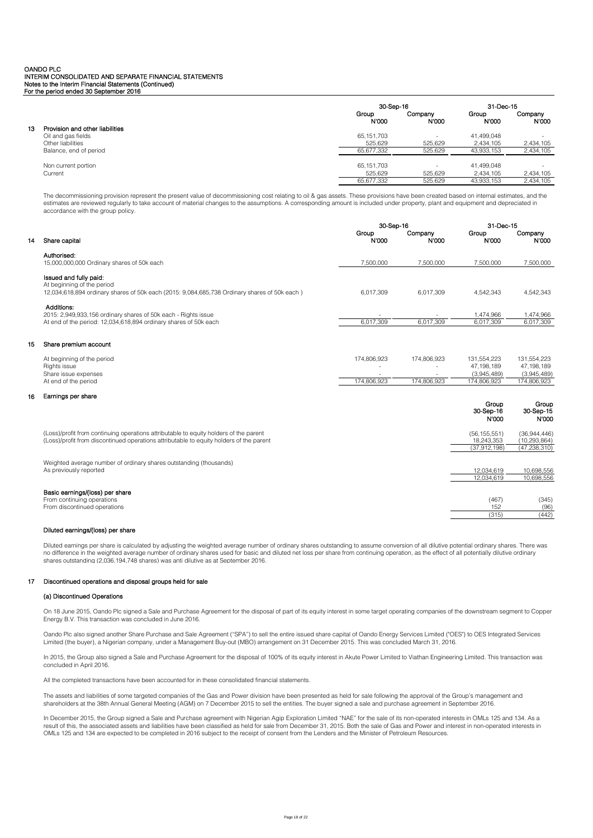|                                       |                | 30-Sep-16        |                       | 31-Dec-15        |  |
|---------------------------------------|----------------|------------------|-----------------------|------------------|--|
|                                       | Group<br>N'000 | Company<br>N'000 | Group<br><b>N'000</b> | Company<br>N'000 |  |
| Provision and other liabilities<br>13 |                |                  |                       |                  |  |
| Oil and gas fields                    | 65.151.703     |                  | 41.499.048            | -                |  |
| Other liabilities                     | 525,629        | 525,629          | 2,434,105             | 2,434,105        |  |
| Balance, end of period                | 65,677,332     | 525,629          | 43,933,153            | 2,434,105        |  |
| Non current portion                   | 65.151.703     |                  | 41.499.048            | -                |  |
| Current                               | 525.629        | 525.629          | 2.434.105             | 2.434.105        |  |
|                                       | 65.677.332     | 525,629          | 43,933,153            | 2,434,105        |  |

The decommissioning provision represent the present value of decommissioning cost relating to oil & gas assets. These provisions have been created based on internal estimates, and the estimates are reviewed regularly to take account of material changes to the assumptions. A corresponding amount is included under property, plant and equipment and depreciated in accordance with the group policy.

|    |                                                                                              | 30-Sep-16      |                  |                | 31-Dec-15          |  |
|----|----------------------------------------------------------------------------------------------|----------------|------------------|----------------|--------------------|--|
| 14 | Share capital                                                                                | Group<br>N'000 | Company<br>N:000 | Group<br>N'000 | Company<br>N'000   |  |
|    | Authorised:<br>15,000,000,000 Ordinary shares of 50k each                                    | 7.500.000      | 7.500.000        | 7.500.000      | 7.500.000          |  |
|    |                                                                                              |                |                  |                |                    |  |
|    | Issued and fully paid:                                                                       |                |                  |                |                    |  |
|    | At beginning of the period                                                                   |                |                  |                |                    |  |
|    | 12,034,618,894 ordinary shares of 50k each (2015: 9,084,685,738 Ordinary shares of 50k each) | 6,017,309      | 6,017,309        | 4,542,343      | 4,542,343          |  |
|    | Additions:                                                                                   |                |                  |                |                    |  |
|    | 2015: 2,949,933,156 ordinary shares of 50k each - Rights issue                               |                |                  | 1.474.966      | 1.474.966          |  |
|    | At end of the period: 12,034,618,894 ordinary shares of 50k each                             | 6.017.309      | 6.017.309        | 6.017.309      | 6.017.309          |  |
| 15 | Share premium account                                                                        |                |                  |                |                    |  |
|    | At beginning of the period                                                                   | 174.806.923    | 174.806.923      | 131.554.223    | 131,554,223        |  |
|    | Rights issue                                                                                 |                |                  | 47.198.189     | 47,198,189         |  |
|    | Share issue expenses                                                                         |                |                  | (3,945,489)    | (3,945,489)        |  |
|    | At end of the period                                                                         | 174.806.923    | 174.806.923      | 174.806.923    | 174,806,923        |  |
| 16 | Earnings per share                                                                           |                |                  |                |                    |  |
|    |                                                                                              |                |                  | Group          | Group              |  |
|    |                                                                                              |                |                  | 30-Sep-16      | 30-Sep-15<br>N'000 |  |
|    |                                                                                              |                |                  | N'000          |                    |  |
|    | (Loss)/profit from continuing operations attributable to equity holders of the parent        |                |                  | (56, 155, 551) | (36,944,446)       |  |
|    | (Loss)/profit from discontinued operations attributable to equity holders of the parent      |                |                  | 18,243,353     | (10, 293, 864)     |  |
|    |                                                                                              |                |                  | (37,912,198)   | (47, 238, 310)     |  |
|    | Weighted average number of ordinary shares outstanding (thousands)                           |                |                  |                |                    |  |
|    | As previously reported                                                                       |                |                  | 12.034.619     | 10,698,556         |  |

### Basic earnings/(loss) per share

16

From continuing operations (345) (345) (346)<br>
From continuing operations (345) (346)<br>
From discontinued operations (96) From discontinued operations

# Diluted earnings/(loss) per share

Diluted earnings per share is calculated by adjusting the weighted average number of ordinary shares outstanding to assume conversion of all dilutive potential ordinary shares. There was no difference in the weighted average number of ordinary shares used for basic and diluted net loss per share from continuing operation, as the effect of all potentially dilutive ordinary shares outstanding (2,036,194,748 shares) was anti dilutive as at September 2016.

12,034,619 10,698,556

(315) (442)

# 17 Discontinued operations and disposal groups held for sale

# (a) Discontinued Operations

On 18 June 2015, Oando Plc signed a Sale and Purchase Agreement for the disposal of part of its equity interest in some target operating companies of the downstream segment to Copper Energy B.V. This transaction was concluded in June 2016.

Oando Plc also signed another Share Purchase and Sale Agreement ("SPA") to sell the entire issued share capital of Oando Energy Services Limited ("OES") to OES Integrated Services Limited (the buyer), a Nigerian company, under a Management Buy-out (MBO) arrangement on 31 December 2015. This was concluded March 31, 2016.

In 2015, the Group also signed a Sale and Purchase Agreement for the disposal of 100% of its equity interest in Akute Power Limited to Viathan Engineering Limited. This transaction was concluded in April 2016.

All the completed transactions have been accounted for in these consolidated financial statements.

The assets and liabilities of some targeted companies of the Gas and Power division have been presented as held for sale following the approval of the Group's management and shareholders at the 38th Annual General Meeting (AGM) on 7 December 2015 to sell the entities. The buyer signed a sale and purchase agreement in September 2016.

In December 2015, the Group signed a Sale and Purchase agreement with Nigerian Agip Exploration Limited "NAE" for the sale of its non-operated interests in OMLs 125 and 134. As a result of this, the associated assets and liabilities have been classified as held for sale from December 31, 2015. Both the sale of Gas and Power and interest in non-operated interests in OMLs 125 and 134 are expected to be completed in 2016 subject to the receipt of consent from the Lenders and the Minister of Petroleum Resources.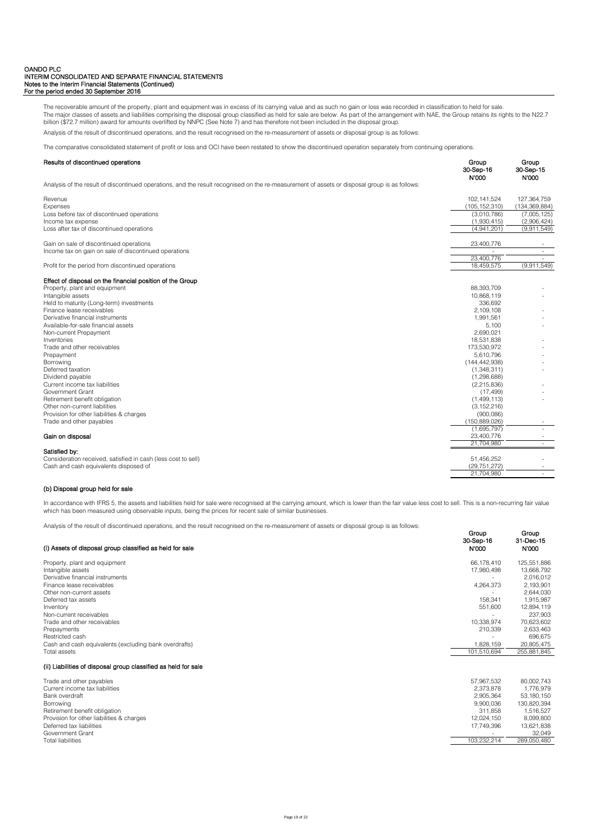The recoverable amount of the property, plant and equipment was in excess of its carrying value and as such no gain or loss was recorded in classification to held for sale. The major classes of assets and liabilities comprising the disposal group classified as held for sale are below. As part of the arrangement with NAE, the Group retains its rights to the N22.7 billion (\$72.7 million) award for amounts overlifted by NNPC (See Note 7) and has therefore not been included in the disposal group.

Analysis of the result of discontinued operations, and the result recognised on the re-measurement of assets or disposal group is as follows:

The comparative consolidated statement of profit or loss and OCI have been restated to show the discontinued operation separately from continuing operations.

# Results of discontinued operations Group Group

|                                                                                                                                               | 30-Sep-16<br><b>N'000</b> | 30-Sep-15<br>N'000 |
|-----------------------------------------------------------------------------------------------------------------------------------------------|---------------------------|--------------------|
| Analysis of the result of discontinued operations, and the result recognised on the re-measurement of assets or disposal group is as follows: |                           |                    |
| Revenue                                                                                                                                       | 102, 141, 524             | 127,364,759        |
| <b>Expenses</b>                                                                                                                               | (105, 152, 310)           | (134, 369, 884)    |
| Loss before tax of discontinued operations                                                                                                    | (3,010,786)               | (7,005,125)        |
| Income tax expense                                                                                                                            | (1,930,415)               | (2,906,424)        |
| Loss after tax of discontinued operations                                                                                                     | (4,941,201)               | (9,911,549)        |
| Gain on sale of discontinued operations                                                                                                       | 23,400,776                |                    |
| Income tax on gain on sale of discontinued operations                                                                                         |                           | $\sim$             |
|                                                                                                                                               | 23,400,776                | $\sim$             |
| Profit for the period from discontinued operations                                                                                            | 18,459,575                | (9,911,549)        |
| Effect of disposal on the financial position of the Group                                                                                     |                           |                    |
| Property, plant and equipment                                                                                                                 | 88,393,709                |                    |
| Intangible assets                                                                                                                             | 10,868,119                |                    |
| Held to maturity (Long-term) investments                                                                                                      | 336.692                   |                    |
| Finance lease receivables                                                                                                                     | 2,109,108                 |                    |
| Derivative financial instruments                                                                                                              | 1,991,561                 |                    |
| Available-for-sale financial assets                                                                                                           | 5,100                     |                    |
| Non-current Prepayment                                                                                                                        | 2,690,021                 |                    |
| Inventories                                                                                                                                   | 18,531,838                |                    |
| Trade and other receivables                                                                                                                   | 173,530,972               |                    |
| Prepayment                                                                                                                                    | 5,610,796                 |                    |
| Borrowing                                                                                                                                     | (144, 442, 938)           |                    |
| Deferred taxation                                                                                                                             | (1,348,311)               |                    |
| Dividend payable                                                                                                                              | (1,298,688)               |                    |
| Current income tax liabilities                                                                                                                | (2, 215, 836)             |                    |
| Government Grant                                                                                                                              | (17, 499)                 |                    |
| Retirement benefit obligation                                                                                                                 | (1,499,113)               |                    |
| Other non-current liabilities                                                                                                                 | (3, 152, 216)             |                    |
| Provision for other liabilities & charges                                                                                                     | (900, 086)                |                    |
| Trade and other payables                                                                                                                      | (150, 889, 026)           |                    |
|                                                                                                                                               | (1,695,797)               |                    |
| Gain on disposal                                                                                                                              | 23,400,776                |                    |
|                                                                                                                                               | 21,704,980                |                    |
| Satisfied by:<br>Consideration received, satisfied in cash (less cost to sell)                                                                | 51,456,252                |                    |
| Cash and cash equivalents disposed of                                                                                                         | (29, 751, 272)            |                    |
|                                                                                                                                               | 21,704,980                |                    |
|                                                                                                                                               |                           |                    |

# (b) Disposal group held for sale

In accordance with IFRS 5, the assets and liabilities held for sale were recognised at the carrying amount, which is lower than the fair value less cost to sell. This is a non-recurring fair value which has been measured using observable inputs, being the prices for recent sale of similar businesses.

Analysis of the result of discontinued operations, and the result recognised on the re-measurement of assets or disposal group is as follows:

| (i) Assets of disposal group classified as held for sale       | Group<br>30-Sep-16<br><b>N'000</b> | Group<br>31-Dec-15<br>N'000 |
|----------------------------------------------------------------|------------------------------------|-----------------------------|
| Property, plant and equipment                                  | 66.178.410                         | 125,551,886                 |
| Intangible assets                                              | 17,980,498                         | 13,668,792                  |
| Derivative financial instruments                               |                                    | 2,016,012                   |
| Finance lease receivables                                      | 4,264,373                          | 2,193,901                   |
| Other non-current assets                                       |                                    | 2,644,030                   |
| Deferred tax assets                                            | 158.341                            | 1,915,987                   |
| Inventory                                                      | 551,600                            | 12,894,119                  |
| Non-current receivables                                        |                                    | 237,903                     |
| Trade and other receivables                                    | 10,338,974                         | 70,623,602                  |
| Prepayments                                                    | 210,339                            | 2,633,463                   |
| Restricted cash                                                |                                    | 696,675                     |
| Cash and cash equivalents (excluding bank overdrafts)          | 1,828,159                          | 20,805,475                  |
| Total assets                                                   | 101.510.694                        | 255,881,845                 |
| (ii) Liabilities of disposal group classified as held for sale |                                    |                             |
| Trade and other payables                                       | 57,967,532                         | 80,002,743                  |
| Current income tax liabilities                                 | 2.373.878                          | 1,776,979                   |
| Bank overdraft                                                 | 2,905,364                          | 53,180,150                  |
| Borrowing                                                      | 9.900.036                          | 130,820,394                 |
| Retirement benefit obligation                                  | 311.858                            | 1,516,527                   |
| Provision for other liabilities & charges                      | 12.024.150                         | 8,099,800                   |
| Deferred tax liabilities                                       | 17,749,396                         | 13,621,838                  |
| <b>Government Grant</b>                                        |                                    | 32,049                      |
| <b>Total liabilities</b>                                       | 103,232,214                        | 289,050,480                 |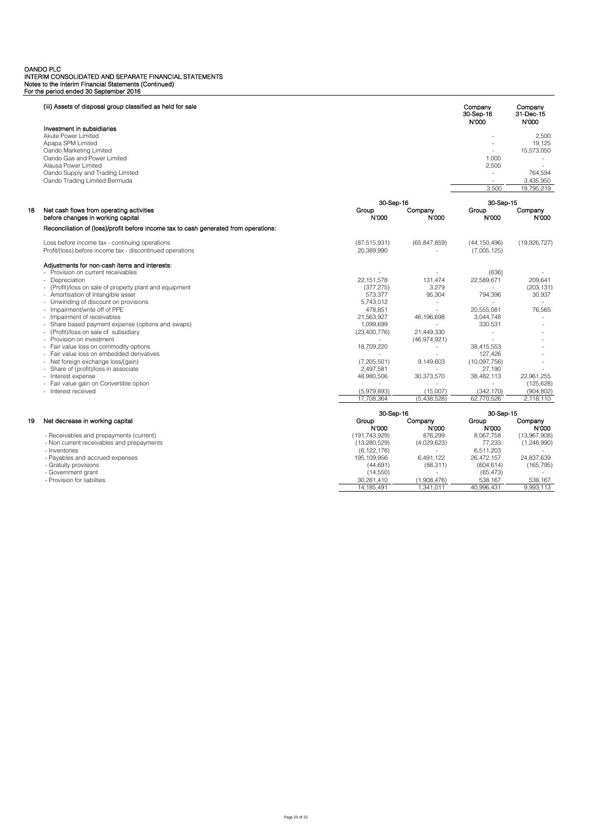| Investment in subsidiaries<br>Akute Power Limited<br>2,500<br>Apapa SPM Limited<br>19.125<br>Oando Marketing Limited<br>15,573,050<br>Oando Gas and Power Limited<br>1,000<br>Alausa Power Limited<br>2,500<br>Oando Supply and Trading Limited<br>764,594<br>$\overline{a}$<br>Oando Trading Limited Bermuda<br>3,435,950<br>3,500<br>19,795,219<br>30-Sep-16<br>30-Sep-15<br>Company<br>Net cash flows from operating activities<br>Group<br>Company<br>Group<br>before changes in working capital<br>N'000<br>N'000<br>N'000<br>N'000<br>Reconciliation of (loss)/profit before income tax to cash generated from operations:<br>Loss before income tax - continuing operations<br>(87, 515, 931)<br>(65, 847, 859)<br>(44, 150, 496)<br>(19,926,727)<br>Profit/(loss) before income tax - discontinued operations<br>20,389,990<br>(7,005,125)<br>Adjustments for non-cash items and interests:<br>- Provision on current receivables<br>(636)<br>- Depreciation<br>22.151.578<br>131.474<br>22.589.671<br>209.641<br>- (Profit)/loss on sale of property plant and equipment<br>(377, 275)<br>3,279<br>(203, 131)<br>95,304<br>30,937<br>- Amortisation of Intangible asset<br>573,377<br>794,396<br>Unwinding of discount on provisions<br>5,743,012<br>$\sim$<br>÷<br>Impairment/write off of PPE<br>478,851<br>20,555,081<br>76,565<br>Impairment of receivables<br>21,563,927<br>46,196,698<br>3,044,748<br>Share based payment expense (options and swaps)<br>1,099,699<br>330.531<br>$\overline{a}$<br>(Profit)/loss on sale of subsidiary<br>(23,400,776)<br>21,449,330<br>$\sim$<br>- Provision on investment<br>(46,974,921)<br>Fair value loss on commodity options<br>18,709,220<br>38,415,553<br>- Fair value loss on embedded derivatives<br>127.426<br>(7,205,501)<br>Net foreign exchange loss/(gain)<br>9,149,603<br>(10,097,756)<br>Share of (profit)/loss in associate<br>2,497,581<br>27,190<br>- Interest expense<br>48,980,506<br>30,373,570<br>38,482,113<br>22,961,255<br>- Fair value gain on Convertible option<br>(125, 628)<br>- Interest received<br>(5,979,893)<br>(15,007)<br>(342, 170)<br>(904, 802)<br>17,708,364<br>62,770,526<br>(5,438,528)<br>2,118,110<br>30-Sep-16<br>30-Sep-15<br>19<br>Net decrease in working capital<br>Group<br>Company<br>Group<br>Company<br>N'000<br>N'000<br><b>N'000</b><br>N'000<br>876,299<br>8,067,758<br>- Receivables and prepayments (current)<br>(191, 743, 929)<br>(13,967,908)<br>- Non current receivables and prepayments<br>(13, 280, 529)<br>(4,029,623)<br>77,233<br>(1,248,990)<br>- Inventories<br>6,511,203<br>(6, 122, 176)<br>- Payables and accrued expenses<br>26,472,157<br>24.837.639<br>195, 109, 956<br>6.491.122<br>- Gratuity provisions<br>(88, 311)<br>(604, 614)<br>(165, 795)<br>(44, 691)<br>- Government grant<br>(14, 550)<br>(65, 473)<br>- Provision for liabilties<br>538,167<br>30,281,410<br>(1,908,476)<br>538,167<br>14, 185, 491<br>1,341,011<br>40,996,431<br>9,993,113 |    | (iii) Assets of disposal group classified as held for sale |  | Company<br>30-Sep-16<br>N'000 | Company<br>31-Dec-15<br>N'000 |
|------------------------------------------------------------------------------------------------------------------------------------------------------------------------------------------------------------------------------------------------------------------------------------------------------------------------------------------------------------------------------------------------------------------------------------------------------------------------------------------------------------------------------------------------------------------------------------------------------------------------------------------------------------------------------------------------------------------------------------------------------------------------------------------------------------------------------------------------------------------------------------------------------------------------------------------------------------------------------------------------------------------------------------------------------------------------------------------------------------------------------------------------------------------------------------------------------------------------------------------------------------------------------------------------------------------------------------------------------------------------------------------------------------------------------------------------------------------------------------------------------------------------------------------------------------------------------------------------------------------------------------------------------------------------------------------------------------------------------------------------------------------------------------------------------------------------------------------------------------------------------------------------------------------------------------------------------------------------------------------------------------------------------------------------------------------------------------------------------------------------------------------------------------------------------------------------------------------------------------------------------------------------------------------------------------------------------------------------------------------------------------------------------------------------------------------------------------------------------------------------------------------------------------------------------------------------------------------------------------------------------------------------------------------------------------------------------------------------------------------------------------------------------------------------------------------------------------------------------------------------------------------------------------------------------------------------------------------------------------------|----|------------------------------------------------------------|--|-------------------------------|-------------------------------|
|                                                                                                                                                                                                                                                                                                                                                                                                                                                                                                                                                                                                                                                                                                                                                                                                                                                                                                                                                                                                                                                                                                                                                                                                                                                                                                                                                                                                                                                                                                                                                                                                                                                                                                                                                                                                                                                                                                                                                                                                                                                                                                                                                                                                                                                                                                                                                                                                                                                                                                                                                                                                                                                                                                                                                                                                                                                                                                                                                                                          |    |                                                            |  |                               |                               |
|                                                                                                                                                                                                                                                                                                                                                                                                                                                                                                                                                                                                                                                                                                                                                                                                                                                                                                                                                                                                                                                                                                                                                                                                                                                                                                                                                                                                                                                                                                                                                                                                                                                                                                                                                                                                                                                                                                                                                                                                                                                                                                                                                                                                                                                                                                                                                                                                                                                                                                                                                                                                                                                                                                                                                                                                                                                                                                                                                                                          |    |                                                            |  |                               |                               |
|                                                                                                                                                                                                                                                                                                                                                                                                                                                                                                                                                                                                                                                                                                                                                                                                                                                                                                                                                                                                                                                                                                                                                                                                                                                                                                                                                                                                                                                                                                                                                                                                                                                                                                                                                                                                                                                                                                                                                                                                                                                                                                                                                                                                                                                                                                                                                                                                                                                                                                                                                                                                                                                                                                                                                                                                                                                                                                                                                                                          |    |                                                            |  |                               |                               |
|                                                                                                                                                                                                                                                                                                                                                                                                                                                                                                                                                                                                                                                                                                                                                                                                                                                                                                                                                                                                                                                                                                                                                                                                                                                                                                                                                                                                                                                                                                                                                                                                                                                                                                                                                                                                                                                                                                                                                                                                                                                                                                                                                                                                                                                                                                                                                                                                                                                                                                                                                                                                                                                                                                                                                                                                                                                                                                                                                                                          |    |                                                            |  |                               |                               |
|                                                                                                                                                                                                                                                                                                                                                                                                                                                                                                                                                                                                                                                                                                                                                                                                                                                                                                                                                                                                                                                                                                                                                                                                                                                                                                                                                                                                                                                                                                                                                                                                                                                                                                                                                                                                                                                                                                                                                                                                                                                                                                                                                                                                                                                                                                                                                                                                                                                                                                                                                                                                                                                                                                                                                                                                                                                                                                                                                                                          |    |                                                            |  |                               |                               |
|                                                                                                                                                                                                                                                                                                                                                                                                                                                                                                                                                                                                                                                                                                                                                                                                                                                                                                                                                                                                                                                                                                                                                                                                                                                                                                                                                                                                                                                                                                                                                                                                                                                                                                                                                                                                                                                                                                                                                                                                                                                                                                                                                                                                                                                                                                                                                                                                                                                                                                                                                                                                                                                                                                                                                                                                                                                                                                                                                                                          |    |                                                            |  |                               |                               |
|                                                                                                                                                                                                                                                                                                                                                                                                                                                                                                                                                                                                                                                                                                                                                                                                                                                                                                                                                                                                                                                                                                                                                                                                                                                                                                                                                                                                                                                                                                                                                                                                                                                                                                                                                                                                                                                                                                                                                                                                                                                                                                                                                                                                                                                                                                                                                                                                                                                                                                                                                                                                                                                                                                                                                                                                                                                                                                                                                                                          |    |                                                            |  |                               |                               |
|                                                                                                                                                                                                                                                                                                                                                                                                                                                                                                                                                                                                                                                                                                                                                                                                                                                                                                                                                                                                                                                                                                                                                                                                                                                                                                                                                                                                                                                                                                                                                                                                                                                                                                                                                                                                                                                                                                                                                                                                                                                                                                                                                                                                                                                                                                                                                                                                                                                                                                                                                                                                                                                                                                                                                                                                                                                                                                                                                                                          |    |                                                            |  |                               |                               |
|                                                                                                                                                                                                                                                                                                                                                                                                                                                                                                                                                                                                                                                                                                                                                                                                                                                                                                                                                                                                                                                                                                                                                                                                                                                                                                                                                                                                                                                                                                                                                                                                                                                                                                                                                                                                                                                                                                                                                                                                                                                                                                                                                                                                                                                                                                                                                                                                                                                                                                                                                                                                                                                                                                                                                                                                                                                                                                                                                                                          |    |                                                            |  |                               |                               |
|                                                                                                                                                                                                                                                                                                                                                                                                                                                                                                                                                                                                                                                                                                                                                                                                                                                                                                                                                                                                                                                                                                                                                                                                                                                                                                                                                                                                                                                                                                                                                                                                                                                                                                                                                                                                                                                                                                                                                                                                                                                                                                                                                                                                                                                                                                                                                                                                                                                                                                                                                                                                                                                                                                                                                                                                                                                                                                                                                                                          |    |                                                            |  |                               |                               |
|                                                                                                                                                                                                                                                                                                                                                                                                                                                                                                                                                                                                                                                                                                                                                                                                                                                                                                                                                                                                                                                                                                                                                                                                                                                                                                                                                                                                                                                                                                                                                                                                                                                                                                                                                                                                                                                                                                                                                                                                                                                                                                                                                                                                                                                                                                                                                                                                                                                                                                                                                                                                                                                                                                                                                                                                                                                                                                                                                                                          | 18 |                                                            |  |                               |                               |
|                                                                                                                                                                                                                                                                                                                                                                                                                                                                                                                                                                                                                                                                                                                                                                                                                                                                                                                                                                                                                                                                                                                                                                                                                                                                                                                                                                                                                                                                                                                                                                                                                                                                                                                                                                                                                                                                                                                                                                                                                                                                                                                                                                                                                                                                                                                                                                                                                                                                                                                                                                                                                                                                                                                                                                                                                                                                                                                                                                                          |    |                                                            |  |                               |                               |
|                                                                                                                                                                                                                                                                                                                                                                                                                                                                                                                                                                                                                                                                                                                                                                                                                                                                                                                                                                                                                                                                                                                                                                                                                                                                                                                                                                                                                                                                                                                                                                                                                                                                                                                                                                                                                                                                                                                                                                                                                                                                                                                                                                                                                                                                                                                                                                                                                                                                                                                                                                                                                                                                                                                                                                                                                                                                                                                                                                                          |    |                                                            |  |                               |                               |
|                                                                                                                                                                                                                                                                                                                                                                                                                                                                                                                                                                                                                                                                                                                                                                                                                                                                                                                                                                                                                                                                                                                                                                                                                                                                                                                                                                                                                                                                                                                                                                                                                                                                                                                                                                                                                                                                                                                                                                                                                                                                                                                                                                                                                                                                                                                                                                                                                                                                                                                                                                                                                                                                                                                                                                                                                                                                                                                                                                                          |    |                                                            |  |                               |                               |
|                                                                                                                                                                                                                                                                                                                                                                                                                                                                                                                                                                                                                                                                                                                                                                                                                                                                                                                                                                                                                                                                                                                                                                                                                                                                                                                                                                                                                                                                                                                                                                                                                                                                                                                                                                                                                                                                                                                                                                                                                                                                                                                                                                                                                                                                                                                                                                                                                                                                                                                                                                                                                                                                                                                                                                                                                                                                                                                                                                                          |    |                                                            |  |                               |                               |
|                                                                                                                                                                                                                                                                                                                                                                                                                                                                                                                                                                                                                                                                                                                                                                                                                                                                                                                                                                                                                                                                                                                                                                                                                                                                                                                                                                                                                                                                                                                                                                                                                                                                                                                                                                                                                                                                                                                                                                                                                                                                                                                                                                                                                                                                                                                                                                                                                                                                                                                                                                                                                                                                                                                                                                                                                                                                                                                                                                                          |    |                                                            |  |                               |                               |
|                                                                                                                                                                                                                                                                                                                                                                                                                                                                                                                                                                                                                                                                                                                                                                                                                                                                                                                                                                                                                                                                                                                                                                                                                                                                                                                                                                                                                                                                                                                                                                                                                                                                                                                                                                                                                                                                                                                                                                                                                                                                                                                                                                                                                                                                                                                                                                                                                                                                                                                                                                                                                                                                                                                                                                                                                                                                                                                                                                                          |    |                                                            |  |                               |                               |
|                                                                                                                                                                                                                                                                                                                                                                                                                                                                                                                                                                                                                                                                                                                                                                                                                                                                                                                                                                                                                                                                                                                                                                                                                                                                                                                                                                                                                                                                                                                                                                                                                                                                                                                                                                                                                                                                                                                                                                                                                                                                                                                                                                                                                                                                                                                                                                                                                                                                                                                                                                                                                                                                                                                                                                                                                                                                                                                                                                                          |    |                                                            |  |                               |                               |
|                                                                                                                                                                                                                                                                                                                                                                                                                                                                                                                                                                                                                                                                                                                                                                                                                                                                                                                                                                                                                                                                                                                                                                                                                                                                                                                                                                                                                                                                                                                                                                                                                                                                                                                                                                                                                                                                                                                                                                                                                                                                                                                                                                                                                                                                                                                                                                                                                                                                                                                                                                                                                                                                                                                                                                                                                                                                                                                                                                                          |    |                                                            |  |                               |                               |
|                                                                                                                                                                                                                                                                                                                                                                                                                                                                                                                                                                                                                                                                                                                                                                                                                                                                                                                                                                                                                                                                                                                                                                                                                                                                                                                                                                                                                                                                                                                                                                                                                                                                                                                                                                                                                                                                                                                                                                                                                                                                                                                                                                                                                                                                                                                                                                                                                                                                                                                                                                                                                                                                                                                                                                                                                                                                                                                                                                                          |    |                                                            |  |                               |                               |
|                                                                                                                                                                                                                                                                                                                                                                                                                                                                                                                                                                                                                                                                                                                                                                                                                                                                                                                                                                                                                                                                                                                                                                                                                                                                                                                                                                                                                                                                                                                                                                                                                                                                                                                                                                                                                                                                                                                                                                                                                                                                                                                                                                                                                                                                                                                                                                                                                                                                                                                                                                                                                                                                                                                                                                                                                                                                                                                                                                                          |    |                                                            |  |                               |                               |
|                                                                                                                                                                                                                                                                                                                                                                                                                                                                                                                                                                                                                                                                                                                                                                                                                                                                                                                                                                                                                                                                                                                                                                                                                                                                                                                                                                                                                                                                                                                                                                                                                                                                                                                                                                                                                                                                                                                                                                                                                                                                                                                                                                                                                                                                                                                                                                                                                                                                                                                                                                                                                                                                                                                                                                                                                                                                                                                                                                                          |    |                                                            |  |                               |                               |
|                                                                                                                                                                                                                                                                                                                                                                                                                                                                                                                                                                                                                                                                                                                                                                                                                                                                                                                                                                                                                                                                                                                                                                                                                                                                                                                                                                                                                                                                                                                                                                                                                                                                                                                                                                                                                                                                                                                                                                                                                                                                                                                                                                                                                                                                                                                                                                                                                                                                                                                                                                                                                                                                                                                                                                                                                                                                                                                                                                                          |    |                                                            |  |                               |                               |
|                                                                                                                                                                                                                                                                                                                                                                                                                                                                                                                                                                                                                                                                                                                                                                                                                                                                                                                                                                                                                                                                                                                                                                                                                                                                                                                                                                                                                                                                                                                                                                                                                                                                                                                                                                                                                                                                                                                                                                                                                                                                                                                                                                                                                                                                                                                                                                                                                                                                                                                                                                                                                                                                                                                                                                                                                                                                                                                                                                                          |    |                                                            |  |                               |                               |
|                                                                                                                                                                                                                                                                                                                                                                                                                                                                                                                                                                                                                                                                                                                                                                                                                                                                                                                                                                                                                                                                                                                                                                                                                                                                                                                                                                                                                                                                                                                                                                                                                                                                                                                                                                                                                                                                                                                                                                                                                                                                                                                                                                                                                                                                                                                                                                                                                                                                                                                                                                                                                                                                                                                                                                                                                                                                                                                                                                                          |    |                                                            |  |                               |                               |
|                                                                                                                                                                                                                                                                                                                                                                                                                                                                                                                                                                                                                                                                                                                                                                                                                                                                                                                                                                                                                                                                                                                                                                                                                                                                                                                                                                                                                                                                                                                                                                                                                                                                                                                                                                                                                                                                                                                                                                                                                                                                                                                                                                                                                                                                                                                                                                                                                                                                                                                                                                                                                                                                                                                                                                                                                                                                                                                                                                                          |    |                                                            |  |                               |                               |
|                                                                                                                                                                                                                                                                                                                                                                                                                                                                                                                                                                                                                                                                                                                                                                                                                                                                                                                                                                                                                                                                                                                                                                                                                                                                                                                                                                                                                                                                                                                                                                                                                                                                                                                                                                                                                                                                                                                                                                                                                                                                                                                                                                                                                                                                                                                                                                                                                                                                                                                                                                                                                                                                                                                                                                                                                                                                                                                                                                                          |    |                                                            |  |                               |                               |
|                                                                                                                                                                                                                                                                                                                                                                                                                                                                                                                                                                                                                                                                                                                                                                                                                                                                                                                                                                                                                                                                                                                                                                                                                                                                                                                                                                                                                                                                                                                                                                                                                                                                                                                                                                                                                                                                                                                                                                                                                                                                                                                                                                                                                                                                                                                                                                                                                                                                                                                                                                                                                                                                                                                                                                                                                                                                                                                                                                                          |    |                                                            |  |                               |                               |
|                                                                                                                                                                                                                                                                                                                                                                                                                                                                                                                                                                                                                                                                                                                                                                                                                                                                                                                                                                                                                                                                                                                                                                                                                                                                                                                                                                                                                                                                                                                                                                                                                                                                                                                                                                                                                                                                                                                                                                                                                                                                                                                                                                                                                                                                                                                                                                                                                                                                                                                                                                                                                                                                                                                                                                                                                                                                                                                                                                                          |    |                                                            |  |                               |                               |
|                                                                                                                                                                                                                                                                                                                                                                                                                                                                                                                                                                                                                                                                                                                                                                                                                                                                                                                                                                                                                                                                                                                                                                                                                                                                                                                                                                                                                                                                                                                                                                                                                                                                                                                                                                                                                                                                                                                                                                                                                                                                                                                                                                                                                                                                                                                                                                                                                                                                                                                                                                                                                                                                                                                                                                                                                                                                                                                                                                                          |    |                                                            |  |                               |                               |
|                                                                                                                                                                                                                                                                                                                                                                                                                                                                                                                                                                                                                                                                                                                                                                                                                                                                                                                                                                                                                                                                                                                                                                                                                                                                                                                                                                                                                                                                                                                                                                                                                                                                                                                                                                                                                                                                                                                                                                                                                                                                                                                                                                                                                                                                                                                                                                                                                                                                                                                                                                                                                                                                                                                                                                                                                                                                                                                                                                                          |    |                                                            |  |                               |                               |
|                                                                                                                                                                                                                                                                                                                                                                                                                                                                                                                                                                                                                                                                                                                                                                                                                                                                                                                                                                                                                                                                                                                                                                                                                                                                                                                                                                                                                                                                                                                                                                                                                                                                                                                                                                                                                                                                                                                                                                                                                                                                                                                                                                                                                                                                                                                                                                                                                                                                                                                                                                                                                                                                                                                                                                                                                                                                                                                                                                                          |    |                                                            |  |                               |                               |
|                                                                                                                                                                                                                                                                                                                                                                                                                                                                                                                                                                                                                                                                                                                                                                                                                                                                                                                                                                                                                                                                                                                                                                                                                                                                                                                                                                                                                                                                                                                                                                                                                                                                                                                                                                                                                                                                                                                                                                                                                                                                                                                                                                                                                                                                                                                                                                                                                                                                                                                                                                                                                                                                                                                                                                                                                                                                                                                                                                                          |    |                                                            |  |                               |                               |
|                                                                                                                                                                                                                                                                                                                                                                                                                                                                                                                                                                                                                                                                                                                                                                                                                                                                                                                                                                                                                                                                                                                                                                                                                                                                                                                                                                                                                                                                                                                                                                                                                                                                                                                                                                                                                                                                                                                                                                                                                                                                                                                                                                                                                                                                                                                                                                                                                                                                                                                                                                                                                                                                                                                                                                                                                                                                                                                                                                                          |    |                                                            |  |                               |                               |
|                                                                                                                                                                                                                                                                                                                                                                                                                                                                                                                                                                                                                                                                                                                                                                                                                                                                                                                                                                                                                                                                                                                                                                                                                                                                                                                                                                                                                                                                                                                                                                                                                                                                                                                                                                                                                                                                                                                                                                                                                                                                                                                                                                                                                                                                                                                                                                                                                                                                                                                                                                                                                                                                                                                                                                                                                                                                                                                                                                                          |    |                                                            |  |                               |                               |
|                                                                                                                                                                                                                                                                                                                                                                                                                                                                                                                                                                                                                                                                                                                                                                                                                                                                                                                                                                                                                                                                                                                                                                                                                                                                                                                                                                                                                                                                                                                                                                                                                                                                                                                                                                                                                                                                                                                                                                                                                                                                                                                                                                                                                                                                                                                                                                                                                                                                                                                                                                                                                                                                                                                                                                                                                                                                                                                                                                                          |    |                                                            |  |                               |                               |
|                                                                                                                                                                                                                                                                                                                                                                                                                                                                                                                                                                                                                                                                                                                                                                                                                                                                                                                                                                                                                                                                                                                                                                                                                                                                                                                                                                                                                                                                                                                                                                                                                                                                                                                                                                                                                                                                                                                                                                                                                                                                                                                                                                                                                                                                                                                                                                                                                                                                                                                                                                                                                                                                                                                                                                                                                                                                                                                                                                                          |    |                                                            |  |                               |                               |
|                                                                                                                                                                                                                                                                                                                                                                                                                                                                                                                                                                                                                                                                                                                                                                                                                                                                                                                                                                                                                                                                                                                                                                                                                                                                                                                                                                                                                                                                                                                                                                                                                                                                                                                                                                                                                                                                                                                                                                                                                                                                                                                                                                                                                                                                                                                                                                                                                                                                                                                                                                                                                                                                                                                                                                                                                                                                                                                                                                                          |    |                                                            |  |                               |                               |
|                                                                                                                                                                                                                                                                                                                                                                                                                                                                                                                                                                                                                                                                                                                                                                                                                                                                                                                                                                                                                                                                                                                                                                                                                                                                                                                                                                                                                                                                                                                                                                                                                                                                                                                                                                                                                                                                                                                                                                                                                                                                                                                                                                                                                                                                                                                                                                                                                                                                                                                                                                                                                                                                                                                                                                                                                                                                                                                                                                                          |    |                                                            |  |                               |                               |
|                                                                                                                                                                                                                                                                                                                                                                                                                                                                                                                                                                                                                                                                                                                                                                                                                                                                                                                                                                                                                                                                                                                                                                                                                                                                                                                                                                                                                                                                                                                                                                                                                                                                                                                                                                                                                                                                                                                                                                                                                                                                                                                                                                                                                                                                                                                                                                                                                                                                                                                                                                                                                                                                                                                                                                                                                                                                                                                                                                                          |    |                                                            |  |                               |                               |
|                                                                                                                                                                                                                                                                                                                                                                                                                                                                                                                                                                                                                                                                                                                                                                                                                                                                                                                                                                                                                                                                                                                                                                                                                                                                                                                                                                                                                                                                                                                                                                                                                                                                                                                                                                                                                                                                                                                                                                                                                                                                                                                                                                                                                                                                                                                                                                                                                                                                                                                                                                                                                                                                                                                                                                                                                                                                                                                                                                                          |    |                                                            |  |                               |                               |
|                                                                                                                                                                                                                                                                                                                                                                                                                                                                                                                                                                                                                                                                                                                                                                                                                                                                                                                                                                                                                                                                                                                                                                                                                                                                                                                                                                                                                                                                                                                                                                                                                                                                                                                                                                                                                                                                                                                                                                                                                                                                                                                                                                                                                                                                                                                                                                                                                                                                                                                                                                                                                                                                                                                                                                                                                                                                                                                                                                                          |    |                                                            |  |                               |                               |
|                                                                                                                                                                                                                                                                                                                                                                                                                                                                                                                                                                                                                                                                                                                                                                                                                                                                                                                                                                                                                                                                                                                                                                                                                                                                                                                                                                                                                                                                                                                                                                                                                                                                                                                                                                                                                                                                                                                                                                                                                                                                                                                                                                                                                                                                                                                                                                                                                                                                                                                                                                                                                                                                                                                                                                                                                                                                                                                                                                                          |    |                                                            |  |                               |                               |
|                                                                                                                                                                                                                                                                                                                                                                                                                                                                                                                                                                                                                                                                                                                                                                                                                                                                                                                                                                                                                                                                                                                                                                                                                                                                                                                                                                                                                                                                                                                                                                                                                                                                                                                                                                                                                                                                                                                                                                                                                                                                                                                                                                                                                                                                                                                                                                                                                                                                                                                                                                                                                                                                                                                                                                                                                                                                                                                                                                                          |    |                                                            |  |                               |                               |
|                                                                                                                                                                                                                                                                                                                                                                                                                                                                                                                                                                                                                                                                                                                                                                                                                                                                                                                                                                                                                                                                                                                                                                                                                                                                                                                                                                                                                                                                                                                                                                                                                                                                                                                                                                                                                                                                                                                                                                                                                                                                                                                                                                                                                                                                                                                                                                                                                                                                                                                                                                                                                                                                                                                                                                                                                                                                                                                                                                                          |    |                                                            |  |                               |                               |
|                                                                                                                                                                                                                                                                                                                                                                                                                                                                                                                                                                                                                                                                                                                                                                                                                                                                                                                                                                                                                                                                                                                                                                                                                                                                                                                                                                                                                                                                                                                                                                                                                                                                                                                                                                                                                                                                                                                                                                                                                                                                                                                                                                                                                                                                                                                                                                                                                                                                                                                                                                                                                                                                                                                                                                                                                                                                                                                                                                                          |    |                                                            |  |                               |                               |
|                                                                                                                                                                                                                                                                                                                                                                                                                                                                                                                                                                                                                                                                                                                                                                                                                                                                                                                                                                                                                                                                                                                                                                                                                                                                                                                                                                                                                                                                                                                                                                                                                                                                                                                                                                                                                                                                                                                                                                                                                                                                                                                                                                                                                                                                                                                                                                                                                                                                                                                                                                                                                                                                                                                                                                                                                                                                                                                                                                                          |    |                                                            |  |                               |                               |

- 
- 
- Gratuity provisions (44,691) (88,311) (604,614) (604,614) (604,614) (604,614) (65,795)<br>- Government grant grant grant grant grant grant (14,550) (14,550) (88,311) (608,478) (85,473) (65,795)<br>- Provision for liabilties (1,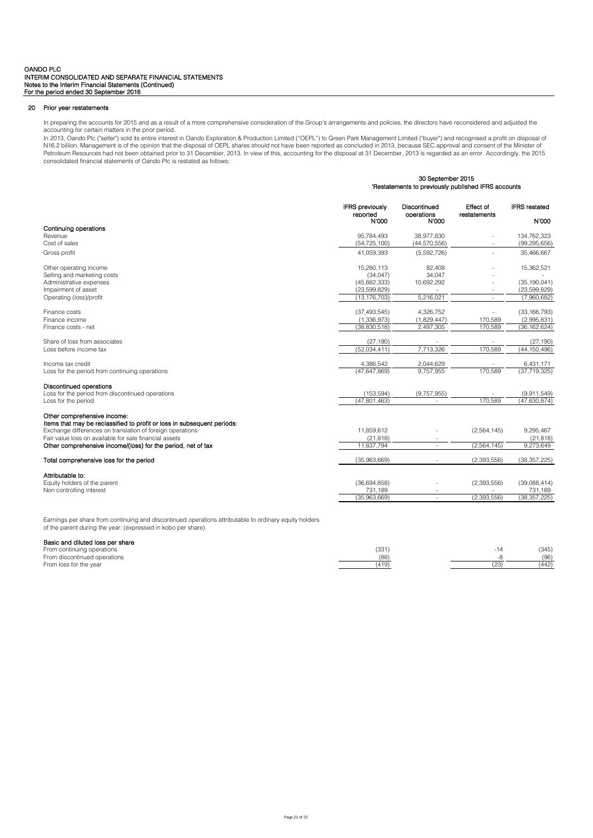# 20 Prior year restatements

In preparing the accounts for 2015 and as a result of a more comprehensive consideration of the Group's arrangements and policies, the directors have reconsidered and adjusted the accounting for certain matters in the prior period.

In 2013, Oando Plc ("seller") sold its entire interest in Oando Exploration & Production Limited ("OEPL") to Green Park Management Limited ("buyer") and recognised a profit on disposal of<br>N16.2 billion. Management is of th Petroleum Resources had not been obtained prior to 31 December, 2013. In view of this, accounting for the disposal at 31 December, 2013 is regarded as an error. Accordingly, the 2015 consolidated financial statements of Oando Plc is restated as follows:

30 September 2015

|                                                                                                        | uu uuuun uu cu u<br>'Restatements to previously published IFRS accounts |                                     |                           |                               |
|--------------------------------------------------------------------------------------------------------|-------------------------------------------------------------------------|-------------------------------------|---------------------------|-------------------------------|
|                                                                                                        | <b>IFRS</b> previously<br>reported<br><b>N'000</b>                      | Discontinued<br>operations<br>N'000 | Effect of<br>restatements | <b>IFRS</b> restated<br>N'000 |
| Continuing operations                                                                                  |                                                                         |                                     |                           |                               |
| Revenue                                                                                                | 95,784,493                                                              | 38,977,830                          |                           | 134,762,323                   |
| Cost of sales                                                                                          | (54, 725, 100)                                                          | (44,570,556)                        |                           | (99, 295, 656)                |
| Gross profit                                                                                           | 41,059,393                                                              | (5,592,726)                         |                           | 35,466,667                    |
| Other operating income                                                                                 | 15,280,113                                                              | 82,408                              |                           | 15,362,521                    |
| Selling and marketing costs                                                                            | (34, 047)                                                               | 34,047                              |                           |                               |
| Administrative expenses                                                                                | (45,882,333)                                                            | 10,692,292                          |                           | (35, 190, 041)                |
| Impairment of asset                                                                                    | (23, 599, 829)                                                          |                                     |                           | (23,599,829)                  |
| Operating (loss)/profit                                                                                | (13, 176, 703)                                                          | 5,216,021                           | $\omega$                  | (7,960,682)                   |
| Finance costs                                                                                          | (37, 493, 545)                                                          | 4,326,752                           |                           | (33, 166, 793)                |
| Finance income                                                                                         | (1,336,973)                                                             | (1,829,447)                         | 170,589                   | (2,995,831)                   |
| Finance costs - net                                                                                    | (38, 830, 518)                                                          | 2,497,305                           | 170.589                   | (36, 162, 624)                |
| Share of loss from associates                                                                          | (27, 190)                                                               |                                     |                           | (27, 190)                     |
| Loss before income tax                                                                                 | (52,034,411)                                                            | 7,713,326                           | 170,589                   | (44, 150, 496)                |
| Income tax credit                                                                                      | 4,386,542                                                               | 2,044,629                           |                           | 6,431,171                     |
| Loss for the period from continuing operations                                                         | (47, 647, 869)                                                          | 9,757,955                           | 170,589                   | (37, 719, 325)                |
| <b>Discontinued operations</b>                                                                         |                                                                         |                                     |                           |                               |
| Loss for the period from discontinued operations                                                       | (153, 594)                                                              | (9,757,955)                         |                           | (9,911,549)                   |
| Loss for the period                                                                                    | (47,801,463)                                                            | $\sim$                              | 170.589                   | (47, 630, 874)                |
| Other comprehensive income:<br>Items that may be reclassified to profit or loss in subsequent periods: |                                                                         |                                     |                           |                               |
| Exchange differences on translation of foreign operations                                              | 11,859,612                                                              |                                     | (2,564,145)               | 9,295,467                     |
| Fair value loss on available for sale financial assets                                                 | (21, 818)                                                               |                                     |                           | (21, 818)                     |
| Other comprehensive income/(loss) for the period, net of tax                                           | 11,837,794                                                              | ÷.                                  | (2,564,145)               | 9,273,649                     |
| Total comprehensive loss for the period                                                                | (35,963,669)                                                            |                                     | (2,393,556)               | (38, 357, 225)                |
| Attributable to:                                                                                       |                                                                         |                                     |                           |                               |
| Equity holders of the parent                                                                           | (36,694,858)                                                            |                                     | (2,393,556)               | (39,088,414)                  |
| Non controlling interest                                                                               | 731,189                                                                 | $\overline{\phantom{a}}$            |                           | 731,189                       |
|                                                                                                        | (35,963,669)                                                            | ÷.                                  | (2.393.556)               | (38, 357, 225)                |

Earnings per share from continuing and discontinued operations attributable to ordinary equity holders of the parent during the year: (expressed in kobo per share)

# Basic and diluted loss per share

| From continuing operations   | 331  | (345) |
|------------------------------|------|-------|
| From discontinued operations | (88) |       |
| From loss for the year       |      | (442) |
|                              |      |       |